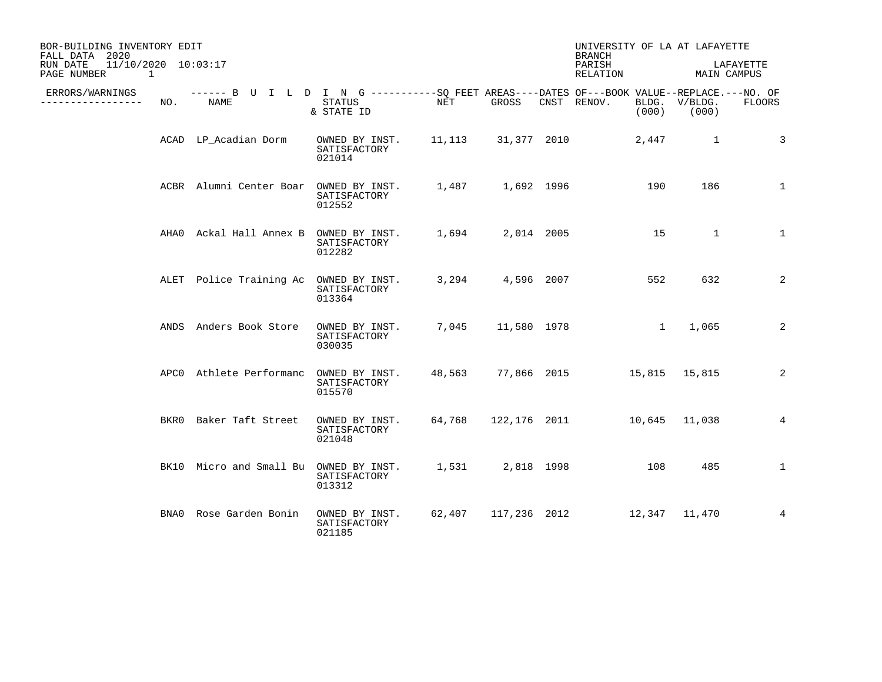| BOR-BUILDING INVENTORY EDIT<br>FALL DATA 2020                  |     |                                                                                                    |                                                             |     |                   | UNIVERSITY OF LA AT LAFAYETTE<br><b>BRANCH</b> |                        |                                  |                 |
|----------------------------------------------------------------|-----|----------------------------------------------------------------------------------------------------|-------------------------------------------------------------|-----|-------------------|------------------------------------------------|------------------------|----------------------------------|-----------------|
| 11/10/2020 10:03:17<br>RUN DATE<br>PAGE NUMBER<br>$\mathbf{1}$ |     |                                                                                                    |                                                             |     |                   | PARISH<br>RELATION                             |                        | MAIN CAMPUS                      | LAFAYETTE       |
| ERRORS/WARNINGS<br>--------------                              | NO. | ------ B U I L D I N G ----------SO FEET AREAS----DATES OF---BOOK VALUE--REPLACE.---NO. OF<br>NAME | <b>STATUS</b><br>& STATE ID                                 | NET | GROSS             | CNST RENOV.                                    |                        | BLDG. V/BLDG.<br>$(000)$ $(000)$ | <b>FLOORS</b>   |
|                                                                |     | ACAD LP_Acadian Dorm                                                                               | OWNED BY INST. 11,113 31,377 2010<br>SATISFACTORY<br>021014 |     |                   |                                                | 2,447                  | $\sim$ 1                         | 3               |
|                                                                |     | ACBR Alumni Center Boar OWNED BY INST. 1,487 1,692 1996                                            | SATISFACTORY<br>012552                                      |     |                   |                                                | 190                    | 186                              | $\mathbf{1}$    |
|                                                                |     | AHAO Ackal Hall Annex B                                                                            | OWNED BY INST. 1,694 2,014 2005<br>SATISFACTORY<br>012282   |     |                   | $\sim$ 15                                      |                        | $\overline{\phantom{a}}$         | $\mathbf{1}$    |
|                                                                |     | ALET Police Training Ac OWNED BY INST.                                                             | SATISFACTORY<br>013364                                      |     | 3,294 4,596 2007  |                                                | 552                    | 632                              | 2               |
|                                                                |     | ANDS Anders Book Store                                                                             | OWNED BY INST.<br>SATISFACTORY<br>030035                    |     | 7,045 11,580 1978 |                                                | $1 \quad \blacksquare$ | 1,065                            | 2               |
|                                                                |     | APCO Athlete Performanc OWNED BY INST.                                                             | SATISFACTORY<br>015570                                      |     |                   | 48,563 77,866 2015 15,815 15,815               |                        |                                  | 2               |
|                                                                |     | BKR0 Baker Taft Street                                                                             | OWNED BY INST.<br>SATISFACTORY<br>021048                    |     |                   | 64,768 122,176 2011 10,645 11,038              |                        |                                  | $4\overline{ }$ |
|                                                                |     | BK10 Micro and Small Bu OWNED BY INST.                                                             | SATISFACTORY<br>013312                                      |     | 1,531 2,818 1998  | 108                                            |                        | 485                              | $\mathbf{1}$    |
|                                                                |     | BNA0 Rose Garden Bonin                                                                             | OWNED BY INST.<br>SATISFACTORY<br>021185                    |     |                   | 62,407 117,236 2012 12,347 11,470              |                        |                                  | $\overline{4}$  |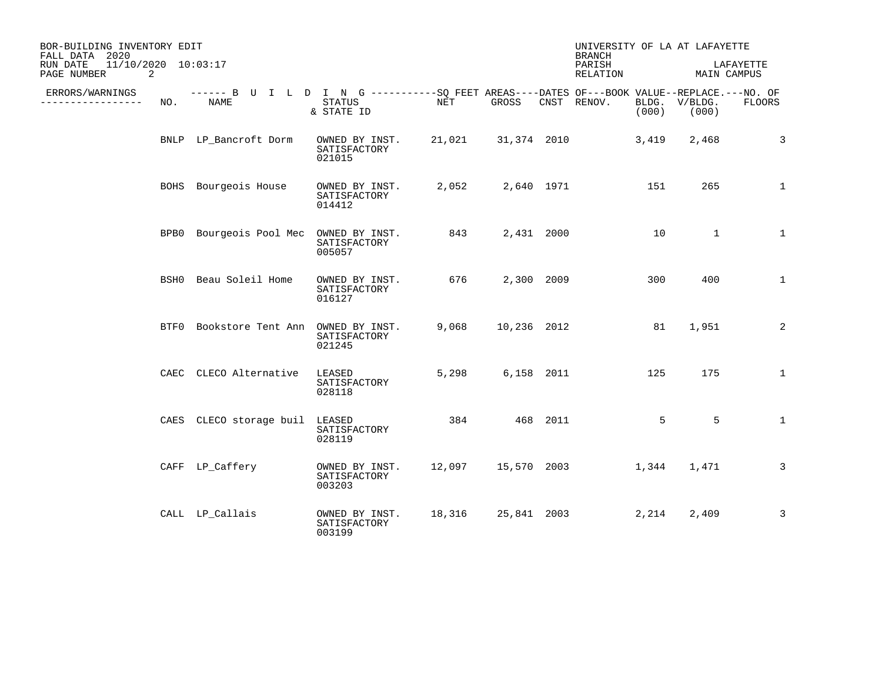| BOR-BUILDING INVENTORY EDIT<br>FALL DATA 2020  |     |                                                                                                           |                                          |           |                    |            | UNIVERSITY OF LA AT LAFAYETTE<br><b>BRANCH</b> |       |                        |               |
|------------------------------------------------|-----|-----------------------------------------------------------------------------------------------------------|------------------------------------------|-----------|--------------------|------------|------------------------------------------------|-------|------------------------|---------------|
| 11/10/2020 10:03:17<br>RUN DATE<br>PAGE NUMBER | 2   |                                                                                                           |                                          |           |                    |            | PARISH<br>RELATION                             |       | MAIN CAMPUS            | LAFAYETTE     |
| ERRORS/WARNINGS<br>---------                   | NO. | ------ B U I L D I N G ----------SQ FEET AREAS----DATES OF---BOOK VALUE--REPLACE.---NO. OF<br><b>NAME</b> | STATUS<br>& STATE ID                     | NET       | GROSS              |            | CNST RENOV.                                    | (000) | BLDG. V/BLDG.<br>(000) | <b>FLOORS</b> |
|                                                |     | BNLP LP Bancroft Dorm                                                                                     | OWNED BY INST.<br>SATISFACTORY<br>021015 | 21,021    |                    |            | 31,374 2010                                    | 3,419 | 2,468                  | 3             |
|                                                |     | BOHS Bourgeois House                                                                                      | OWNED BY INST.<br>SATISFACTORY<br>014412 | 2,052     |                    | 2,640 1971 |                                                | 151   | 265                    | $\mathbf{1}$  |
|                                                |     | BPB0 Bourgeois Pool Mec OWNED BY INST.                                                                    | SATISFACTORY<br>005057                   | 843 — 100 |                    | 2,431 2000 |                                                | 10    | $\mathbf{1}$           | $\mathbf{1}$  |
|                                                |     | BSH0 Beau Soleil Home                                                                                     | OWNED BY INST.<br>SATISFACTORY<br>016127 | 676       |                    | 2,300 2009 |                                                | 300   | 400                    | $\mathbf{1}$  |
|                                                |     | BTF0 Bookstore Tent Ann OWNED BY INST.                                                                    | SATISFACTORY<br>021245                   | 9,068     | 10,236 2012        |            |                                                | 81    | 1,951                  | 2             |
|                                                |     | CAEC CLECO Alternative                                                                                    | LEASED<br>SATISFACTORY<br>028118         | 5,298     |                    | 6,158 2011 |                                                | 125   | 175                    | $\mathbf{1}$  |
|                                                |     | CAES CLECO storage buil                                                                                   | LEASED<br>SATISFACTORY<br>028119         | 384       | 468 2011           |            |                                                | 5     | 5                      | $\mathbf{1}$  |
|                                                |     | CAFF LP_Caffery                                                                                           | OWNED BY INST.<br>SATISFACTORY<br>003203 | 12,097    |                    |            | 15,570 2003                                    | 1,344 | 1,471                  | 3             |
|                                                |     | CALL LP_Callais                                                                                           | OWNED BY INST.<br>SATISFACTORY<br>003199 |           | 18,316 25,841 2003 |            |                                                | 2,214 | 2,409                  | 3             |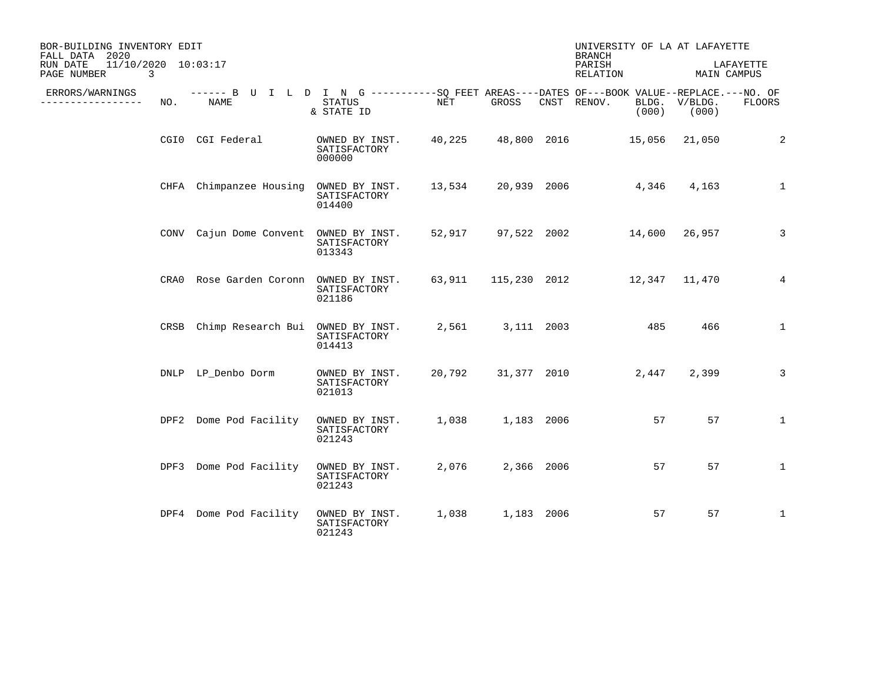| BOR-BUILDING INVENTORY EDIT<br>FALL DATA 2020       |      |                                                                                                     |                                          |        |             | UNIVERSITY OF LA AT LAFAYETTE<br><b>BRANCH</b> |                  |              |
|-----------------------------------------------------|------|-----------------------------------------------------------------------------------------------------|------------------------------------------|--------|-------------|------------------------------------------------|------------------|--------------|
| 11/10/2020 10:03:17<br>RUN DATE<br>PAGE NUMBER<br>3 |      |                                                                                                     |                                          |        |             | PARISH<br>RELATION                             | MAIN CAMPUS      | LAFAYETTE    |
| ERRORS/WARNINGS<br>____________                     | NO.  | ------ B U I L D I N G -----------SQ FEET AREAS----DATES OF---BOOK VALUE--REPLACE.---NO. OF<br>NAME | STATUS<br>& STATE ID                     | NET    | GROSS       | CNST RENOV.<br>BLDG.<br>(000)                  | V/BLDG.<br>(000) | FLOORS       |
|                                                     |      | CGIO CGI Federal                                                                                    | OWNED BY INST.<br>SATISFACTORY<br>000000 | 40,225 | 48,800 2016 | 15,056                                         | 21,050           | 2            |
|                                                     |      | CHFA Chimpanzee Housing                                                                             | OWNED BY INST.<br>SATISFACTORY<br>014400 | 13,534 | 20,939 2006 | 4,346                                          | 4,163            | $\mathbf 1$  |
|                                                     |      | CONV Cajun Dome Convent OWNED BY INST.                                                              | SATISFACTORY<br>013343                   |        |             | 52,917 97,522 2002 14,600 26,957               |                  | 3            |
|                                                     |      | CRAO Rose Garden Coronn                                                                             | OWNED BY INST.<br>SATISFACTORY<br>021186 | 63,911 |             | 115,230 2012 12,347 11,470                     |                  | 4            |
|                                                     | CRSB | Chimp Research Bui OWNED BY INST.                                                                   | SATISFACTORY<br>014413                   | 2,561  | 3,111 2003  | 485                                            | 466              | $\mathbf{1}$ |
|                                                     |      | DNLP LP Denbo Dorm                                                                                  | OWNED BY INST.<br>SATISFACTORY<br>021013 | 20,792 | 31,377 2010 | 2,447                                          | 2,399            | 3            |
|                                                     |      | DPF2 Dome Pod Facility                                                                              | OWNED BY INST.<br>SATISFACTORY<br>021243 | 1,038  | 1,183 2006  | 57                                             | 57               | $\mathbf{1}$ |
|                                                     |      | DPF3 Dome Pod Facility                                                                              | OWNED BY INST.<br>SATISFACTORY<br>021243 | 2,076  | 2,366 2006  | 57                                             | 57               | $\mathbf{1}$ |
|                                                     |      | DPF4 Dome Pod Facility                                                                              | OWNED BY INST.<br>SATISFACTORY<br>021243 | 1,038  | 1,183 2006  | 57                                             | 57               | $\mathbf{1}$ |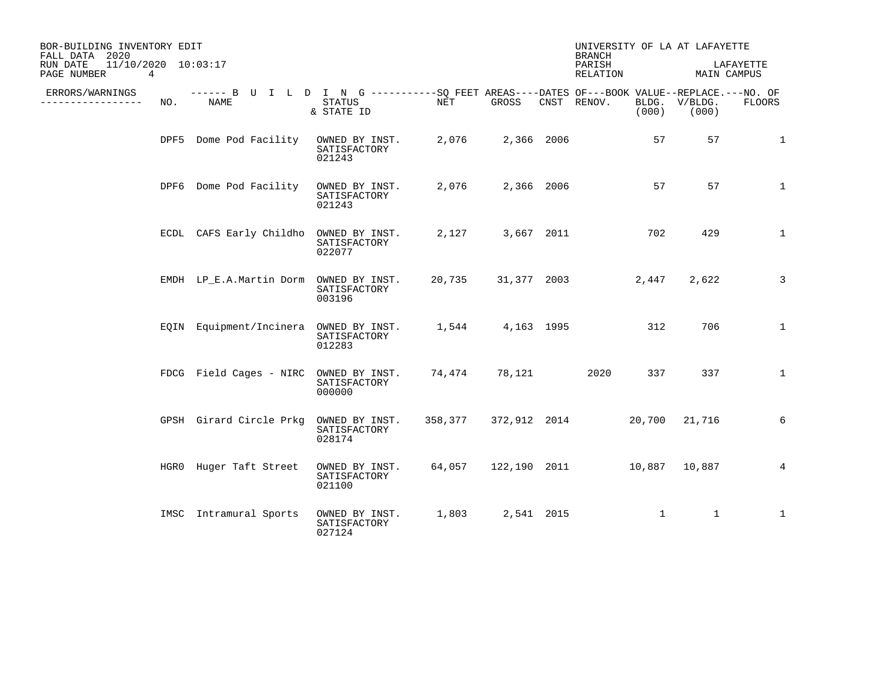| BOR-BUILDING INVENTORY EDIT<br>FALL DATA 2020       |     |                                                                                                    |                                          |                      |                  | <b>BRANCH</b>              |              | UNIVERSITY OF LA AT LAFAYETTE |                |
|-----------------------------------------------------|-----|----------------------------------------------------------------------------------------------------|------------------------------------------|----------------------|------------------|----------------------------|--------------|-------------------------------|----------------|
| 11/10/2020 10:03:17<br>RUN DATE<br>PAGE NUMBER<br>4 |     |                                                                                                    |                                          |                      |                  | PARISH<br>RELATION         |              | MAIN CAMPUS                   | LAFAYETTE      |
| ERRORS/WARNINGS<br>. <u>.</u> .                     | NO. | ------ B U I L D I N G ----------SO FEET AREAS----DATES OF---BOOK VALUE--REPLACE.---NO. OF<br>NAME | STATUS<br>& STATE ID                     | NET                  | GROSS            | CNST RENOV.                | (000)        | BLDG. V/BLDG.<br>(000)        | <b>FLOORS</b>  |
|                                                     |     | DPF5 Dome Pod Facility                                                                             | OWNED BY INST.<br>SATISFACTORY<br>021243 | 2,076                | 2,366 2006       |                            | 57           | 57                            | $\mathbf{1}$   |
|                                                     |     | DPF6 Dome Pod Facility                                                                             | OWNED BY INST.<br>SATISFACTORY<br>021243 | 2,076                | 2,366 2006       |                            | 57           | 57                            | $\mathbf 1$    |
|                                                     |     | ECDL CAFS Early Childho OWNED BY INST.                                                             | SATISFACTORY<br>022077                   |                      | 2,127 3,667 2011 |                            | 702          | 429                           | $\mathbf{1}$   |
|                                                     |     | EMDH LP_E.A.Martin Dorm OWNED BY INST.                                                             | SATISFACTORY<br>003196                   | 20,735               |                  | 31,377 2003                | 2,447        | 2,622                         | 3              |
|                                                     |     | EQIN Equipment/Incinera OWNED BY INST.                                                             | SATISFACTORY<br>012283                   |                      | 1,544 4,163 1995 |                            | 312          | 706                           | $\mathbf{1}$   |
|                                                     |     | FDCG Field Cages - NIRC OWNED BY INST.                                                             | SATISFACTORY<br>000000                   | 74,474               | 78,121           | 2020                       | 337          | 337                           | $\mathbf{1}$   |
|                                                     |     | GPSH Girard Circle Prkg                                                                            | OWNED BY INST.<br>SATISFACTORY<br>028174 | 358,377 372,912 2014 |                  |                            | 20,700       | 21,716                        | 6              |
|                                                     |     | HGRO Huger Taft Street                                                                             | OWNED BY INST.<br>SATISFACTORY<br>021100 | 64,057               |                  | 122,190 2011 10,887 10,887 |              |                               | $\overline{4}$ |
|                                                     |     | IMSC Intramural Sports                                                                             | OWNED BY INST.<br>SATISFACTORY<br>027124 | 1,803                | 2,541 2015       |                            | $\mathbf{1}$ | $\mathbf{1}$                  | $\mathbf{1}$   |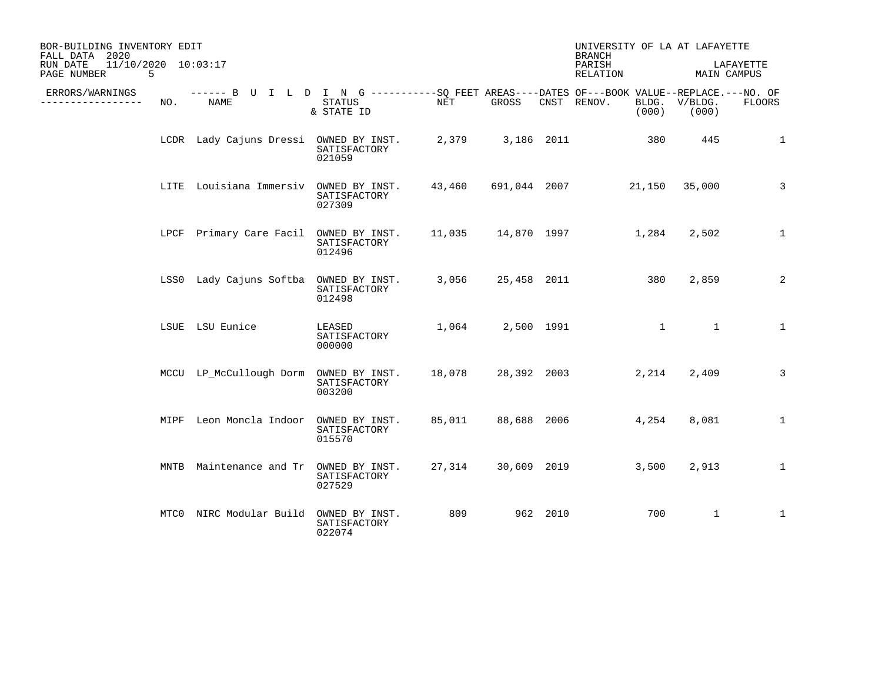| BOR-BUILDING INVENTORY EDIT<br>FALL DATA 2020       |     |                                                                                                            |                                          |            |              |            | UNIVERSITY OF LA AT LAFAYETTE<br><b>BRANCH</b> |                  |                          |
|-----------------------------------------------------|-----|------------------------------------------------------------------------------------------------------------|------------------------------------------|------------|--------------|------------|------------------------------------------------|------------------|--------------------------|
| 11/10/2020 10:03:17<br>RUN DATE<br>5<br>PAGE NUMBER |     |                                                                                                            |                                          |            |              |            | PARISH<br>RELATION                             |                  | LAFAYETTE<br>MAIN CAMPUS |
| ERRORS/WARNINGS<br>-----------                      | NO. | ------ B U I L D I N G -----------SO FEET AREAS----DATES OF---BOOK VALUE--REPLACE.---NO. OF<br><b>NAME</b> | <b>STATUS</b><br>& STATE ID              | <b>NET</b> | GROSS        |            | CNST RENOV.<br>BLDG.<br>(000)                  | V/BLDG.<br>(000) | FLOORS                   |
|                                                     |     | LCDR Lady Cajuns Dressi OWNED BY INST.                                                                     | SATISFACTORY<br>021059                   | 2,379      |              | 3,186 2011 | 380                                            | 445              | $\mathbf{1}$             |
|                                                     |     | LITE Louisiana Immersiv                                                                                    | OWNED BY INST.<br>SATISFACTORY<br>027309 | 43,460     | 691,044 2007 |            | 21,150                                         | 35,000           | 3                        |
|                                                     |     | LPCF Primary Care Facil OWNED BY INST.                                                                     | SATISFACTORY<br>012496                   | 11,035     |              |            | 14,870 1997<br>1,284                           | 2,502            | $\mathbf{1}$             |
|                                                     |     | LSS0 Lady Cajuns Softba OWNED BY INST.                                                                     | SATISFACTORY<br>012498                   | 3,056      | 25,458 2011  |            | 380                                            | 2,859            | 2                        |
|                                                     |     | LSUE LSU Eunice                                                                                            | LEASED<br>SATISFACTORY<br>000000         | 1,064      |              | 2,500 1991 |                                                | $\mathbf{1}$     | 1                        |
|                                                     |     | MCCU LP_McCullough Dorm                                                                                    | OWNED BY INST.<br>SATISFACTORY<br>003200 | 18,078     | 28,392 2003  |            | 2,214                                          | 2,409            | 3                        |
|                                                     |     | MIPF Leon Moncla Indoor                                                                                    | OWNED BY INST.<br>SATISFACTORY<br>015570 | 85,011     | 88,688 2006  |            | 4,254                                          | 8,081            | $\mathbf{1}$             |
|                                                     |     | MNTB Maintenance and Tr                                                                                    | OWNED BY INST.<br>SATISFACTORY<br>027529 | 27,314     | 30,609 2019  |            | 3,500                                          | 2,913            | $\mathbf 1$              |
|                                                     |     | MTCO NIRC Modular Build                                                                                    | OWNED BY INST.<br>SATISFACTORY<br>022074 | 809        |              | 962 2010   | 700                                            | $\mathbf{1}$     | $\mathbf 1$              |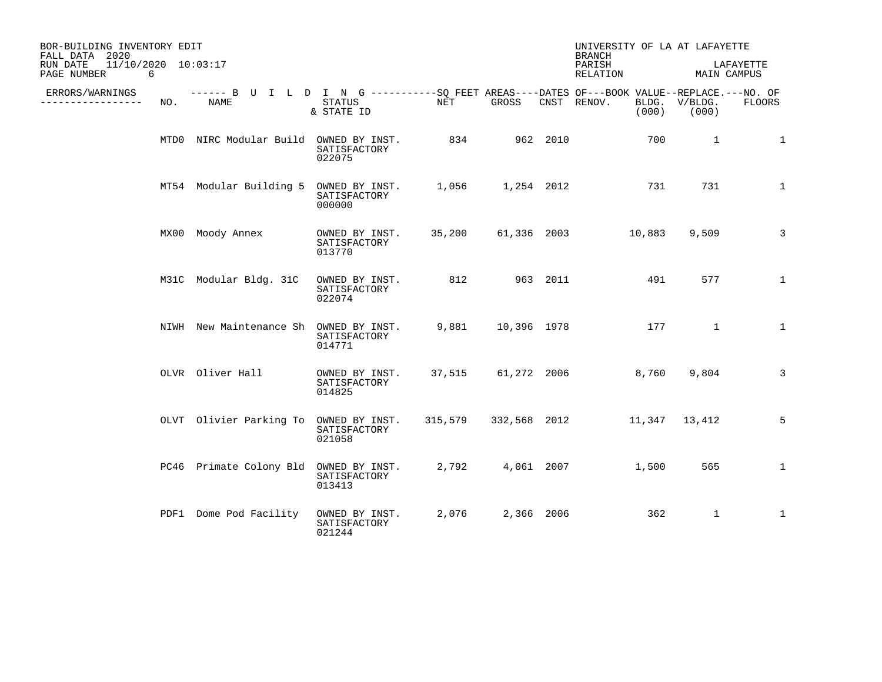| BOR-BUILDING INVENTORY EDIT<br>FALL DATA 2020       |     |                                                                                                    |                                          |        |             |          | UNIVERSITY OF LA AT LAFAYETTE<br><b>BRANCH</b> |       |                        |               |
|-----------------------------------------------------|-----|----------------------------------------------------------------------------------------------------|------------------------------------------|--------|-------------|----------|------------------------------------------------|-------|------------------------|---------------|
| 11/10/2020 10:03:17<br>RUN DATE<br>PAGE NUMBER<br>6 |     |                                                                                                    |                                          |        |             |          | PARISH<br>RELATION                             |       | MAIN CAMPUS            | LAFAYETTE     |
| ERRORS/WARNINGS<br>. <u>.</u> .                     | NO. | ------ B U I L D I N G ----------SO FEET AREAS----DATES OF---BOOK VALUE--REPLACE.---NO. OF<br>NAME | STATUS<br>& STATE ID                     | NET    | GROSS       |          | CNST RENOV.                                    | (000) | BLDG. V/BLDG.<br>(000) | <b>FLOORS</b> |
|                                                     |     | MTD0 NIRC Modular Build OWNED BY INST.                                                             | SATISFACTORY<br>022075                   | 834    |             | 962 2010 |                                                | 700   | $\mathbf{1}$           | 1             |
|                                                     |     | MT54 Modular Building 5 OWNED BY INST.                                                             | SATISFACTORY<br>000000                   | 1,056  | 1,254 2012  |          |                                                | 731   | 731                    | 1             |
|                                                     |     | MX00 Moody Annex                                                                                   | OWNED BY INST.<br>SATISFACTORY<br>013770 | 35,200 | 61,336 2003 |          | 10,883                                         |       | 9,509                  | 3             |
|                                                     |     | M31C Modular Bldg. 31C                                                                             | OWNED BY INST.<br>SATISFACTORY<br>022074 | 812    |             | 963 2011 |                                                | 491   | 577                    | $\mathbf{1}$  |
|                                                     |     | NIWH New Maintenance Sh OWNED BY INST.                                                             | SATISFACTORY<br>014771                   | 9,881  | 10,396 1978 |          |                                                | 177   | $\mathbf{1}$           | $\mathbf{1}$  |
|                                                     |     | OLVR Oliver Hall                                                                                   | OWNED BY INST.<br>SATISFACTORY<br>014825 |        |             |          | 37,515 61,272 2006                             | 8,760 | 9,804                  | 3             |
|                                                     |     | OLVT Olivier Parking To                                                                            | OWNED BY INST.<br>SATISFACTORY<br>021058 |        |             |          | 315,579 332,568 2012 11,347 13,412             |       |                        | 5             |
|                                                     |     | PC46 Primate Colony Bld                                                                            | OWNED BY INST.<br>SATISFACTORY<br>013413 | 2,792  | 4,061 2007  |          |                                                | 1,500 | 565                    | $\mathbf{1}$  |
|                                                     |     | PDF1 Dome Pod Facility                                                                             | OWNED BY INST.<br>SATISFACTORY<br>021244 | 2,076  | 2,366 2006  |          |                                                | 362   | $\mathbf{1}$           | $\mathbf{1}$  |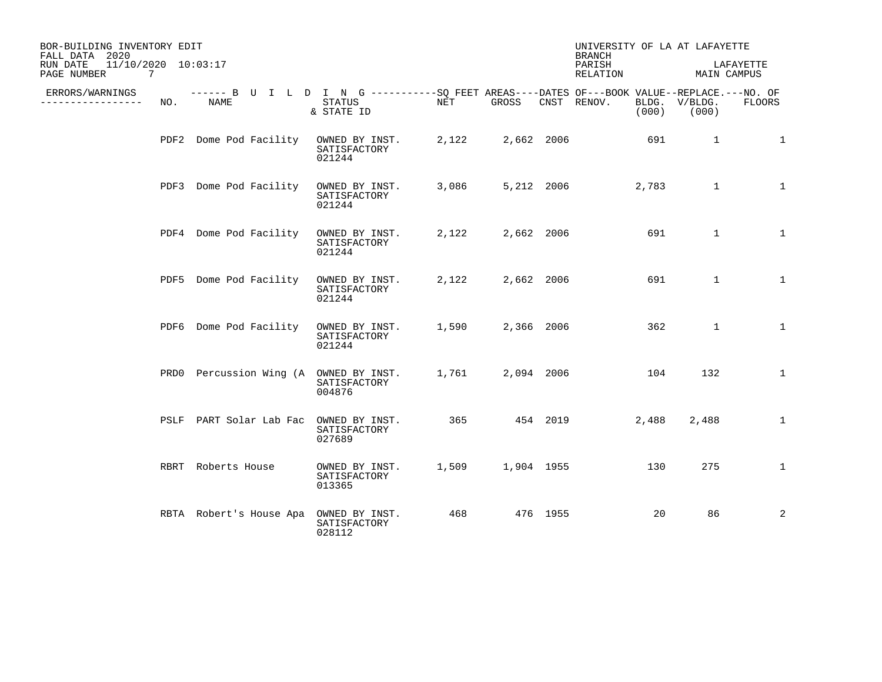| BOR-BUILDING INVENTORY EDIT<br>FALL DATA 2020                     |     |                         |                                                                                                                    |       |            |            | UNIVERSITY OF LA AT LAFAYETTE<br><b>BRANCH</b> |       |                        |                          |
|-------------------------------------------------------------------|-----|-------------------------|--------------------------------------------------------------------------------------------------------------------|-------|------------|------------|------------------------------------------------|-------|------------------------|--------------------------|
| 11/10/2020 10:03:17<br>RUN DATE<br>$7\phantom{.0}$<br>PAGE NUMBER |     |                         |                                                                                                                    |       |            |            | PARISH<br>RELATION                             |       |                        | LAFAYETTE<br>MAIN CAMPUS |
| ERRORS/WARNINGS<br>. _ _ _ _ _ _ _ _ _ _ _ _ _                    | NO. | NAME                    | ------ B U I L D I N G ----------SQ FEET AREAS----DATES OF---BOOK VALUE--REPLACE.---NO. OF<br>STATUS<br>& STATE ID | NET   | GROSS      |            | CNST RENOV.                                    | (000) | BLDG. V/BLDG.<br>(000) | <b>FLOORS</b>            |
|                                                                   |     | PDF2 Dome Pod Facility  | OWNED BY INST.<br>SATISFACTORY<br>021244                                                                           | 2,122 | 2,662 2006 |            |                                                | 691   | $\mathbf{1}$           | $\mathbf{1}$             |
|                                                                   |     | PDF3 Dome Pod Facility  | OWNED BY INST.<br>SATISFACTORY<br>021244                                                                           | 3,086 |            | 5,212 2006 |                                                | 2,783 | $\mathbf{1}$           | $\mathbf{1}$             |
|                                                                   |     | PDF4 Dome Pod Facility  | OWNED BY INST.<br>SATISFACTORY<br>021244                                                                           | 2,122 | 2,662 2006 |            |                                                | 691   | $\mathbf{1}$           | $\mathbf{1}$             |
|                                                                   |     | PDF5 Dome Pod Facility  | OWNED BY INST.<br>SATISFACTORY<br>021244                                                                           | 2,122 | 2,662 2006 |            |                                                | 691   | $\mathbf{1}$           | $\mathbf{1}$             |
|                                                                   |     | PDF6 Dome Pod Facility  | OWNED BY INST.<br>SATISFACTORY<br>021244                                                                           | 1,590 | 2,366 2006 |            |                                                | 362   | $\mathbf{1}$           | $\mathbf{1}$             |
|                                                                   |     |                         | PRD0 Percussion Wing (A OWNED BY INST.<br>SATISFACTORY<br>004876                                                   | 1,761 | 2,094 2006 |            |                                                | 104   | 132                    | $\mathbf{1}$             |
|                                                                   |     | PSLF PART Solar Lab Fac | OWNED BY INST.<br>SATISFACTORY<br>027689                                                                           | 365   | 454 2019   |            |                                                | 2,488 | 2,488                  | $\mathbf{1}$             |
|                                                                   |     | RBRT Roberts House      | OWNED BY INST.<br>SATISFACTORY<br>013365                                                                           | 1,509 | 1,904 1955 |            |                                                | 130   | 275                    | $\mathbf{1}$             |
|                                                                   |     | RBTA Robert's House Apa | OWNED BY INST.<br>SATISFACTORY<br>028112                                                                           | 468   |            | 476 1955   |                                                | 20    | 86                     | 2                        |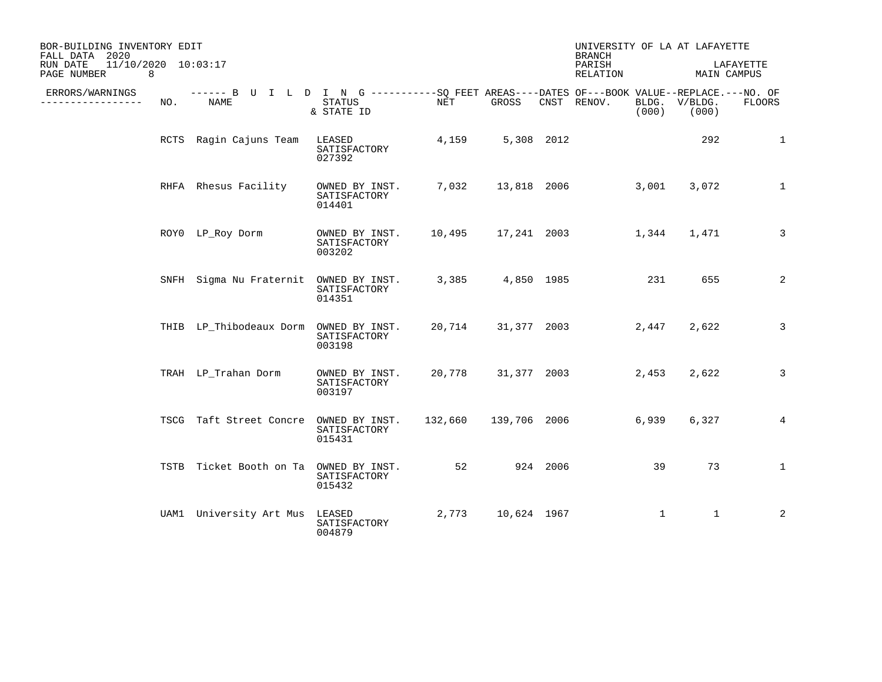| BOR-BUILDING INVENTORY EDIT<br>FALL DATA 2020       |     |                                                                                                     |                                          |                      |             |          | UNIVERSITY OF LA AT LAFAYETTE<br><b>BRANCH</b> |              |                        |                |
|-----------------------------------------------------|-----|-----------------------------------------------------------------------------------------------------|------------------------------------------|----------------------|-------------|----------|------------------------------------------------|--------------|------------------------|----------------|
| 11/10/2020 10:03:17<br>RUN DATE<br>PAGE NUMBER<br>8 |     |                                                                                                     |                                          |                      |             |          | PARISH<br>RELATION                             |              | MAIN CAMPUS            | LAFAYETTE      |
| ERRORS/WARNINGS<br>-------------                    | NO. | ------ B U I L D I N G -----------SO FEET AREAS----DATES OF---BOOK VALUE--REPLACE.---NO. OF<br>NAME | <b>STATUS</b><br>& STATE ID              | NET                  | GROSS       |          | CNST RENOV.                                    | (000)        | BLDG. V/BLDG.<br>(000) | <b>FLOORS</b>  |
|                                                     |     | RCTS Ragin Cajuns Team                                                                              | LEASED<br>SATISFACTORY<br>027392         | 4,159                | 5,308 2012  |          |                                                |              | 292                    | 1              |
|                                                     |     | RHFA Rhesus Facility                                                                                | OWNED BY INST.<br>SATISFACTORY<br>014401 | 7,032                |             |          | 13,818 2006                                    | 3,001        | 3,072                  | 1              |
|                                                     |     | ROYO LP_Roy Dorm                                                                                    | OWNED BY INST.<br>SATISFACTORY<br>003202 |                      |             |          | 10,495   17,241   2003   1,344                 |              | 1,471                  | $\overline{3}$ |
|                                                     |     | SNFH Sigma Nu Fraternit OWNED BY INST.                                                              | SATISFACTORY<br>014351                   | 3,385                | 4,850 1985  |          |                                                | 231          | 655                    | 2              |
|                                                     |     | THIB LP_Thibodeaux Dorm OWNED BY INST.                                                              | SATISFACTORY<br>003198                   | 20,714               |             |          | 31,377 2003                                    | 2,447        | 2,622                  | 3              |
|                                                     |     | TRAH LP_Trahan Dorm                                                                                 | OWNED BY INST.<br>SATISFACTORY<br>003197 | 20,778               |             |          | 31,377 2003                                    | 2,453        | 2,622                  | 3              |
|                                                     |     | TSCG Taft Street Concre                                                                             | OWNED BY INST.<br>SATISFACTORY<br>015431 | 132,660 139,706 2006 |             |          |                                                | 6,939        | 6,327                  | 4              |
|                                                     |     | TSTB Ticket Booth on Ta                                                                             | OWNED BY INST.<br>SATISFACTORY<br>015432 | 52                   |             | 924 2006 |                                                | 39           | 73                     | $\mathbf{1}$   |
|                                                     |     | UAM1 University Art Mus                                                                             | LEASED<br>SATISFACTORY<br>004879         | 2,773                | 10,624 1967 |          |                                                | $\mathbf{1}$ | $\mathbf{1}$           | $\overline{a}$ |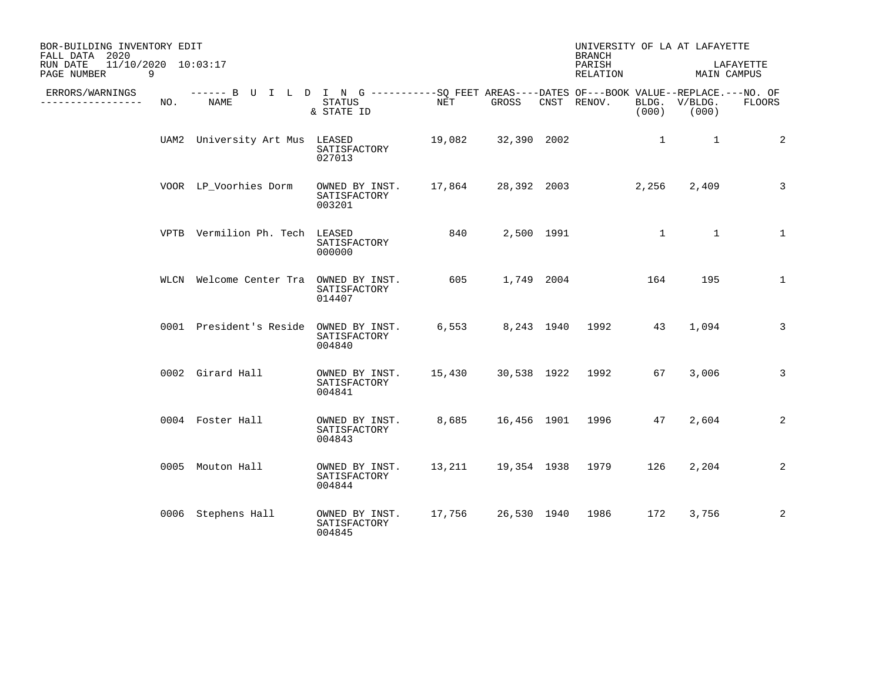| BOR-BUILDING INVENTORY EDIT<br>FALL DATA 2020       |     |                                                                                                    |                                          |                    |                  | UNIVERSITY OF LA AT LAFAYETTE<br><b>BRANCH</b> |              |                        |                          |
|-----------------------------------------------------|-----|----------------------------------------------------------------------------------------------------|------------------------------------------|--------------------|------------------|------------------------------------------------|--------------|------------------------|--------------------------|
| 11/10/2020 10:03:17<br>RUN DATE<br>PAGE NUMBER<br>9 |     |                                                                                                    |                                          |                    |                  | PARISH<br>RELATION                             |              |                        | LAFAYETTE<br>MAIN CAMPUS |
| ERRORS/WARNINGS<br>. <u>.</u> .                     | NO. | ------ B U I L D I N G ----------SO FEET AREAS----DATES OF---BOOK VALUE--REPLACE.---NO. OF<br>NAME | STATUS<br>& STATE ID                     | NET                | GROSS            | CNST RENOV.                                    | (000)        | BLDG. V/BLDG.<br>(000) | <b>FLOORS</b>            |
|                                                     |     | UAM2 University Art Mus LEASED                                                                     | SATISFACTORY<br>027013                   | 19,082 32,390 2002 |                  |                                                | $\mathbf{1}$ | $\mathbf{1}$           | 2                        |
|                                                     |     | VOOR LP_Voorhies Dorm                                                                              | OWNED BY INST.<br>SATISFACTORY<br>003201 | 17,864             |                  | 28,392 2003                                    | 2,256        | 2,409                  | 3                        |
|                                                     |     | VPTB Vermilion Ph. Tech LEASED                                                                     | SATISFACTORY<br>000000                   | 840                | 2,500 1991       |                                                | $\mathbf{1}$ | $\overline{1}$         | $\mathbf{1}$             |
|                                                     |     | WLCN Welcome Center Tra                                                                            | OWNED BY INST.<br>SATISFACTORY<br>014407 | 605                | 1,749 2004       |                                                | 164          | 195                    | $\mathbf{1}$             |
|                                                     |     | 0001 President's Reside                                                                            | OWNED BY INST.<br>SATISFACTORY<br>004840 |                    |                  | 6,553 8,243 1940 1992                          | 43           | 1,094                  | $\overline{3}$           |
|                                                     |     | 0002 Girard Hall                                                                                   | OWNED BY INST.<br>SATISFACTORY<br>004841 | 15,430             |                  | 30,538 1922 1992                               | 67           | 3,006                  | 3                        |
|                                                     |     | 0004 Foster Hall                                                                                   | OWNED BY INST.<br>SATISFACTORY<br>004843 |                    |                  | 8,685 16,456 1901 1996                         | 47           | 2,604                  | 2                        |
|                                                     |     | 0005 Mouton Hall                                                                                   | OWNED BY INST.<br>SATISFACTORY<br>004844 | 13,211             | 19,354 1938 1979 |                                                | 126          | 2,204                  | 2                        |
|                                                     |     | 0006 Stephens Hall                                                                                 | OWNED BY INST.<br>SATISFACTORY<br>004845 |                    |                  | 17,756 26,530 1940 1986                        | 172          | 3,756                  | 2                        |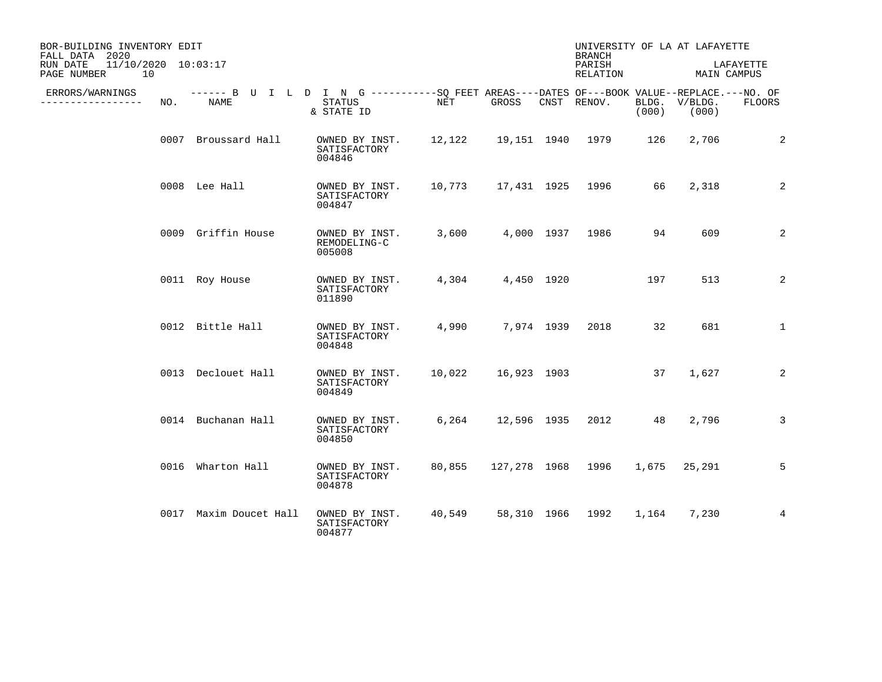| BOR-BUILDING INVENTORY EDIT<br>FALL DATA 2020        |     |                        |                                                                                                                    |        |             |            | <b>BRANCH</b>                 |       | UNIVERSITY OF LA AT LAFAYETTE |              |
|------------------------------------------------------|-----|------------------------|--------------------------------------------------------------------------------------------------------------------|--------|-------------|------------|-------------------------------|-------|-------------------------------|--------------|
| 11/10/2020 10:03:17<br>RUN DATE<br>PAGE NUMBER<br>10 |     |                        |                                                                                                                    |        |             |            | PARISH<br>RELATION            |       | MAIN CAMPUS                   | LAFAYETTE    |
| ERRORS/WARNINGS<br>--------------                    | NO. | NAME                   | ------ B U I L D I N G ----------SO FEET AREAS----DATES OF---BOOK VALUE--REPLACE.---NO. OF<br>STATUS<br>& STATE ID | NET    | GROSS       |            | CNST RENOV.                   | (000) | BLDG. V/BLDG.<br>(000)        | FLOORS       |
|                                                      |     | 0007 Broussard Hall    | OWNED BY INST.<br>SATISFACTORY<br>004846                                                                           |        |             |            | 12,122   19,151   1940   1979 | 126   | 2,706                         | 2            |
|                                                      |     | 0008 Lee Hall          | OWNED BY INST.<br>SATISFACTORY<br>004847                                                                           | 10,773 |             |            | 17,431  1925  1996            | 66    | 2,318                         | 2            |
|                                                      |     | 0009 Griffin House     | OWNED BY INST.<br>REMODELING-C<br>005008                                                                           | 3,600  |             |            | 4,000 1937 1986               | 94    | 609                           | 2            |
|                                                      |     | 0011 Roy House         | OWNED BY INST.<br>SATISFACTORY<br>011890                                                                           | 4,304  |             | 4,450 1920 |                               | 197   | 513                           | 2            |
|                                                      |     | 0012 Bittle Hall       | OWNED BY INST.<br>SATISFACTORY<br>004848                                                                           | 4,990  |             | 7,974 1939 | 2018                          | 32    | 681                           | $\mathbf{1}$ |
|                                                      |     | 0013 Declouet Hall     | OWNED BY INST.<br>SATISFACTORY<br>004849                                                                           | 10,022 | 16,923 1903 |            |                               | 37    | 1,627                         | 2            |
|                                                      |     | 0014 Buchanan Hall     | OWNED BY INST.<br>SATISFACTORY<br>004850                                                                           |        |             |            | 6,264 12,596 1935 2012 48     |       | 2,796                         | 3            |
|                                                      |     | 0016 Wharton Hall      | OWNED BY INST.<br>SATISFACTORY<br>004878                                                                           | 80,855 |             |            | 127,278 1968 1996             |       | 1,675 25,291                  | 5            |
|                                                      |     | 0017 Maxim Doucet Hall | OWNED BY INST.<br>SATISFACTORY<br>004877                                                                           | 40,549 |             |            | 58,310 1966 1992              | 1,164 | 7,230                         | 4            |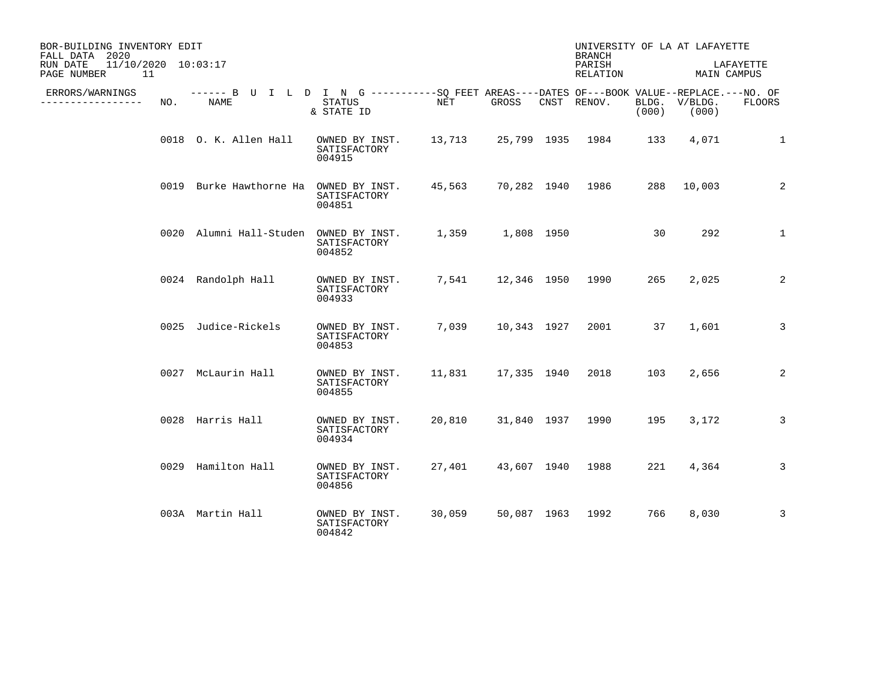| BOR-BUILDING INVENTORY EDIT<br>FALL DATA 2020        |     |                                                                                                            |                                                                      |                  |                         | UNIVERSITY OF LA AT LAFAYETTE<br><b>BRANCH</b> |       |                        |              |
|------------------------------------------------------|-----|------------------------------------------------------------------------------------------------------------|----------------------------------------------------------------------|------------------|-------------------------|------------------------------------------------|-------|------------------------|--------------|
| 11/10/2020 10:03:17<br>RUN DATE<br>PAGE NUMBER<br>11 |     |                                                                                                            |                                                                      |                  |                         | PARISH<br>RELATION                             |       | MAIN CAMPUS            | LAFAYETTE    |
| ERRORS/WARNINGS<br>-----------                       | NO. | ------ B U I L D I N G -----------SO FEET AREAS----DATES OF---BOOK VALUE--REPLACE.---NO. OF<br><b>NAME</b> | STATUS<br>& STATE ID                                                 | NET              | GROSS                   | CNST RENOV.                                    | (000) | BLDG. V/BLDG.<br>(000) | FLOORS       |
|                                                      |     | 0018 O. K. Allen Hall                                                                                      | OWNED BY INST. 13,713 25,799 1935 1984 133<br>SATISFACTORY<br>004915 |                  |                         |                                                |       | 4,071                  | 1            |
|                                                      |     | 0019 Burke Hawthorne Ha                                                                                    | OWNED BY INST.<br>SATISFACTORY<br>004851                             |                  |                         | 45,563 70,282 1940 1986                        |       | 288 10,003             | 2            |
|                                                      |     | 0020 Alumni Hall-Studen OWNED BY INST.                                                                     | SATISFACTORY<br>004852                                               | 1,359 1,808 1950 |                         |                                                | 30    | 292                    | $\mathbf{1}$ |
|                                                      |     | 0024 Randolph Hall                                                                                         | OWNED BY INST.<br>SATISFACTORY<br>004933                             |                  |                         | 7,541 12,346 1950 1990                         | 265   | 2,025                  | 2            |
|                                                      |     | 0025 Judice-Rickels                                                                                        | OWNED BY INST.<br>SATISFACTORY<br>004853                             |                  |                         | 7,039 10,343 1927 2001 37                      |       | 1,601                  | 3            |
|                                                      |     | 0027 McLaurin Hall                                                                                         | OWNED BY INST.<br>SATISFACTORY<br>004855                             |                  | 11,831 17,335 1940 2018 |                                                | 103   | 2,656                  | 2            |
|                                                      |     | 0028 Harris Hall                                                                                           | OWNED BY INST.<br>SATISFACTORY<br>004934                             |                  |                         | 20,810 31,840 1937 1990                        | 195   | 3,172                  | 3            |
|                                                      |     | 0029 Hamilton Hall                                                                                         | OWNED BY INST.<br>SATISFACTORY<br>004856                             | 27,401           | 43,607 1940 1988        |                                                | 221   | 4,364                  | 3            |
|                                                      |     | 003A Martin Hall                                                                                           | OWNED BY INST.<br>SATISFACTORY<br>004842                             | 30,059           |                         | 50,087 1963 1992                               | 766   | 8,030                  | 3            |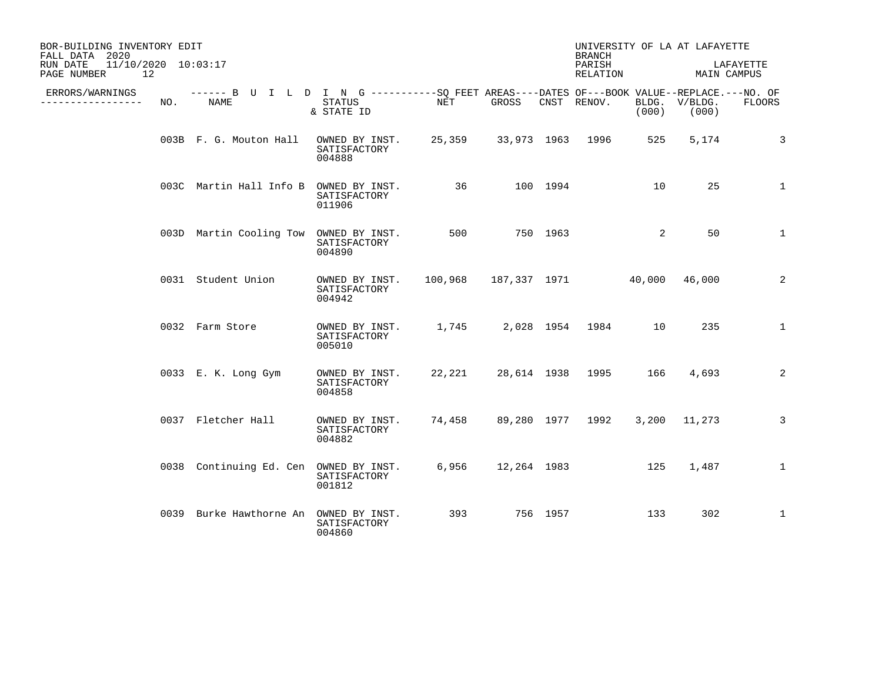| BOR-BUILDING INVENTORY EDIT<br>FALL DATA 2020        |     |                                                                                                     |                                                                   |                                    |             | <b>BRANCH</b>           |       | UNIVERSITY OF LA AT LAFAYETTE |              |
|------------------------------------------------------|-----|-----------------------------------------------------------------------------------------------------|-------------------------------------------------------------------|------------------------------------|-------------|-------------------------|-------|-------------------------------|--------------|
| 11/10/2020 10:03:17<br>RUN DATE<br>PAGE NUMBER<br>12 |     |                                                                                                     |                                                                   |                                    |             | PARISH<br>RELATION      |       | MAIN CAMPUS                   | LAFAYETTE    |
| ERRORS/WARNINGS<br>______________                    | NO. | ------ B U I L D I N G -----------SQ FEET AREAS----DATES OF---BOOK VALUE--REPLACE.---NO. OF<br>NAME | STATUS<br>& STATE ID                                              | NET                                | GROSS       | CNST RENOV.             | (000) | BLDG. V/BLDG.<br>(000)        | FLOORS       |
|                                                      |     | 003B F. G. Mouton Hall                                                                              | OWNED BY INST. 25,359 33,973 1963 1996<br>SATISFACTORY<br>004888  |                                    |             |                         | 525   | 5,174                         | $\mathbf{3}$ |
|                                                      |     | 003C Martin Hall Info B                                                                             | OWNED BY INST.<br>SATISFACTORY<br>011906                          |                                    | 36 100 1994 |                         | 10    | 25                            | $\mathbf{1}$ |
|                                                      |     | 003D Martin Cooling Tow                                                                             | OWNED BY INST.<br>SATISFACTORY<br>004890                          | 500 750 1963                       |             |                         | 2     | 50                            | $\mathbf{1}$ |
|                                                      |     | 0031 Student Union                                                                                  | OWNED BY INST.<br>SATISFACTORY<br>004942                          | 100,968 187,337 1971 40,000 46,000 |             |                         |       |                               | 2            |
|                                                      |     | 0032 Farm Store                                                                                     | OWNED BY INST. 1,745 2,028 1954 1984 10<br>SATISFACTORY<br>005010 |                                    |             |                         |       | 235                           | $\mathbf{1}$ |
|                                                      |     | 0033 E. K. Long Gym                                                                                 | OWNED BY INST.<br>SATISFACTORY<br>004858                          | 22,221                             |             | 28,614 1938 1995 166    |       | 4,693                         | 2            |
|                                                      |     | 0037 Fletcher Hall                                                                                  | OWNED BY INST.<br>SATISFACTORY<br>004882                          |                                    |             | 74,458 89,280 1977 1992 |       | 3,200 11,273                  | 3            |
|                                                      |     | 0038 Continuing Ed. Cen OWNED BY INST.                                                              | SATISFACTORY<br>001812                                            | 6,956                              |             | 12,264 1983 125         |       | 1,487                         | $\mathbf{1}$ |
|                                                      |     | 0039 Burke Hawthorne An                                                                             | OWNED BY INST.<br>SATISFACTORY<br>004860                          | 393                                | 756 1957    |                         | 133   | 302                           | $\mathbf{1}$ |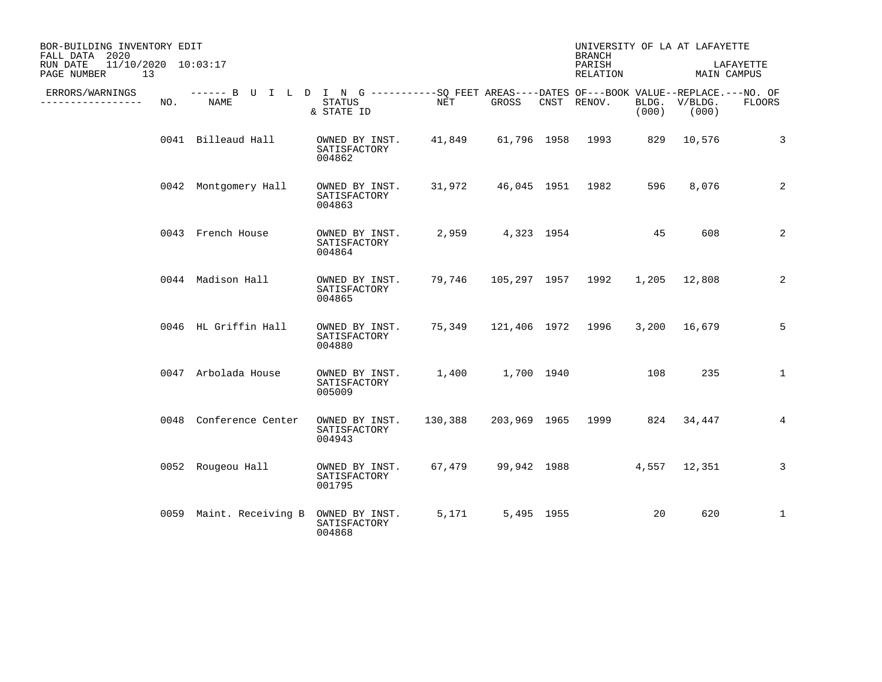| BOR-BUILDING INVENTORY EDIT<br>FALL DATA 2020        |     |                                                                                                    |                                          |        |                  |            | <b>BRANCH</b>                        |       | UNIVERSITY OF LA AT LAFAYETTE |                 |
|------------------------------------------------------|-----|----------------------------------------------------------------------------------------------------|------------------------------------------|--------|------------------|------------|--------------------------------------|-------|-------------------------------|-----------------|
| 11/10/2020 10:03:17<br>RUN DATE<br>PAGE NUMBER<br>13 |     |                                                                                                    |                                          |        |                  |            | PARISH<br>RELATION                   |       | MAIN CAMPUS                   | LAFAYETTE       |
| ERRORS/WARNINGS<br>. <u>.</u>                        | NO. | ------ B U I L D I N G ----------SO FEET AREAS----DATES OF---BOOK VALUE--REPLACE.---NO. OF<br>NAME | STATUS<br>& STATE ID                     | NET    | GROSS            |            | CNST RENOV.                          | (000) | BLDG. V/BLDG.<br>(000)        | <b>FLOORS</b>   |
|                                                      |     | 0041 Billeaud Hall                                                                                 | OWNED BY INST.<br>SATISFACTORY<br>004862 |        |                  |            | 41,849 61,796 1958 1993 829 10,576   |       |                               | $\mathbf{3}$    |
|                                                      |     | 0042 Montgomery Hall                                                                               | OWNED BY INST.<br>SATISFACTORY<br>004863 |        |                  |            | 31,972 46,045 1951 1982              | 596   | 8,076                         | 2               |
|                                                      |     | 0043 French House                                                                                  | OWNED BY INST.<br>SATISFACTORY<br>004864 |        | 2,959 4,323 1954 |            |                                      | 45    | 608                           | 2               |
|                                                      |     | 0044 Madison Hall                                                                                  | OWNED BY INST.<br>SATISFACTORY<br>004865 |        |                  |            | 79,746 105,297 1957 1992             |       | 1,205 12,808                  | 2               |
|                                                      |     | 0046 HL Griffin Hall                                                                               | OWNED BY INST.<br>SATISFACTORY<br>004880 |        |                  |            | 75,349 121,406 1972 1996             |       | 3,200 16,679                  | 5               |
|                                                      |     | 0047 Arbolada House                                                                                | OWNED BY INST.<br>SATISFACTORY<br>005009 |        |                  |            |                                      | 108   | 235                           | $\mathbf{1}$    |
|                                                      |     | 0048 Conference Center                                                                             | OWNED BY INST.<br>SATISFACTORY<br>004943 |        |                  |            | 130,388 203,969 1965 1999 824 34,447 |       |                               | $4\overline{ }$ |
|                                                      |     | 0052 Rougeou Hall                                                                                  | OWNED BY INST.<br>SATISFACTORY<br>001795 | 67,479 |                  |            | 99,942 1988                          |       | 4,557 12,351                  | 3               |
|                                                      |     | 0059 Maint. Receiving B                                                                            | OWNED BY INST.<br>SATISFACTORY<br>004868 | 5,171  |                  | 5,495 1955 |                                      | 20    | 620                           | $\mathbf{1}$    |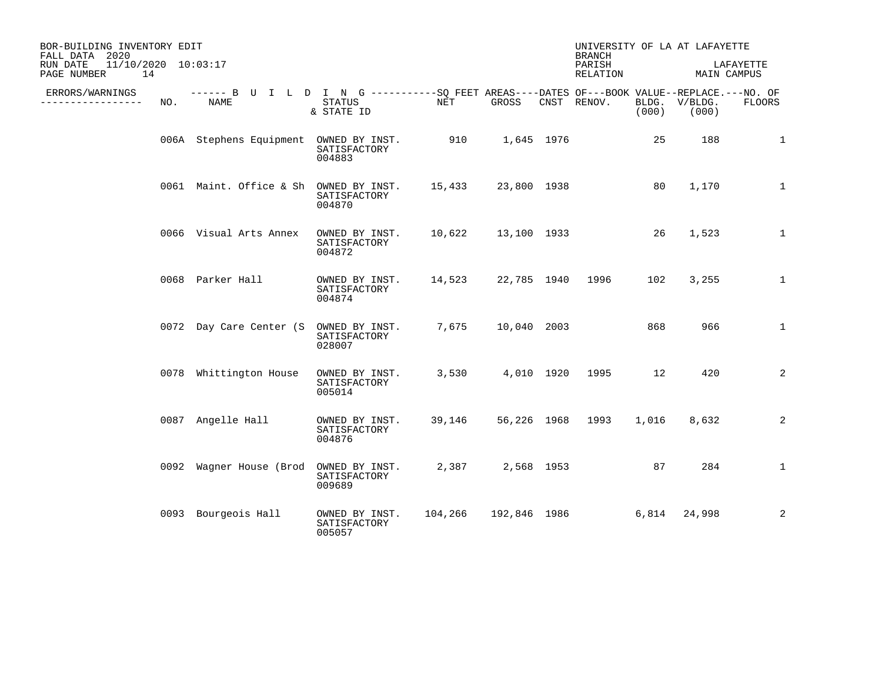| BOR-BUILDING INVENTORY EDIT<br>FALL DATA 2020        |     |                                                                                                    |                                          |                    |              |            | <b>BRANCH</b>      |       | UNIVERSITY OF LA AT LAFAYETTE |               |
|------------------------------------------------------|-----|----------------------------------------------------------------------------------------------------|------------------------------------------|--------------------|--------------|------------|--------------------|-------|-------------------------------|---------------|
| 11/10/2020 10:03:17<br>RUN DATE<br>PAGE NUMBER<br>14 |     |                                                                                                    |                                          |                    |              |            | PARISH<br>RELATION |       | MAIN CAMPUS                   | LAFAYETTE     |
| ERRORS/WARNINGS<br>.                                 | NO. | ------ B U I L D I N G ----------SQ FEET AREAS----DATES OF---BOOK VALUE--REPLACE.---NO. OF<br>NAME | STATUS<br>& STATE ID                     | NET                | GROSS        |            | CNST RENOV.        | (000) | BLDG. V/BLDG.<br>(000)        | <b>FLOORS</b> |
|                                                      |     | 006A Stephens Equipment OWNED BY INST.                                                             | SATISFACTORY<br>004883                   | 910 1,645 1976     |              |            |                    | 25    | 188                           | 1             |
|                                                      |     | 0061 Maint. Office & Sh OWNED BY INST.                                                             | SATISFACTORY<br>004870                   | 15,433             | 23,800 1938  |            |                    | 80    | 1,170                         | $\mathbf{1}$  |
|                                                      |     | 0066 Visual Arts Annex                                                                             | OWNED BY INST.<br>SATISFACTORY<br>004872 | 10,622 13,100 1933 |              |            |                    | 26    | 1,523                         | $\mathbf{1}$  |
|                                                      |     | 0068 Parker Hall                                                                                   | OWNED BY INST.<br>SATISFACTORY<br>004874 | 14,523             |              |            | 22,785 1940 1996   | 102   | 3,255                         | $\mathbf{1}$  |
|                                                      |     | 0072 Day Care Center (S OWNED BY INST.                                                             | SATISFACTORY<br>028007                   | 7,675              | 10,040 2003  |            |                    | 868   | 966                           | $\mathbf{1}$  |
|                                                      |     | 0078 Whittington House                                                                             | OWNED BY INST.<br>SATISFACTORY<br>005014 | 3,530              |              |            | 4,010 1920 1995    | 12    | 420                           | 2             |
|                                                      |     | 0087 Angelle Hall                                                                                  | OWNED BY INST.<br>SATISFACTORY<br>004876 | 39,146             |              |            | 56,226 1968 1993   | 1,016 | 8,632                         | 2             |
|                                                      |     | 0092 Wagner House (Brod                                                                            | OWNED BY INST.<br>SATISFACTORY<br>009689 | 2,387              |              | 2,568 1953 |                    | 87    | 284                           | $\mathbf{1}$  |
|                                                      |     | 0093 Bourgeois Hall                                                                                | OWNED BY INST.<br>SATISFACTORY<br>005057 | 104,266            | 192,846 1986 |            |                    | 6,814 | 24,998                        | 2             |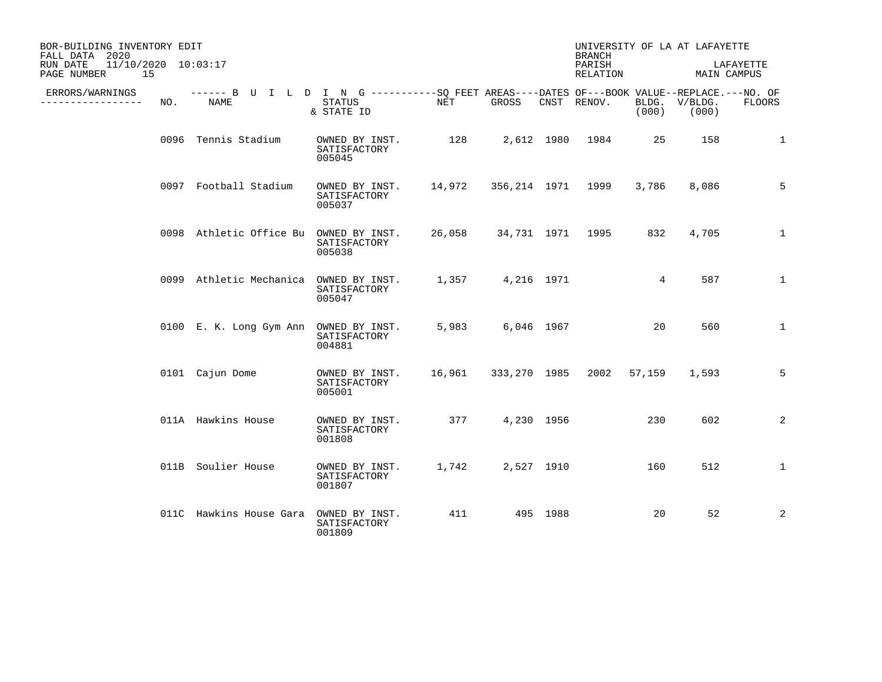| BOR-BUILDING INVENTORY EDIT<br>FALL DATA 2020        |     |                                                                                                    |                                          |            |                   |            | UNIVERSITY OF LA AT LAFAYETTE<br><b>BRANCH</b> |        |                        |                          |
|------------------------------------------------------|-----|----------------------------------------------------------------------------------------------------|------------------------------------------|------------|-------------------|------------|------------------------------------------------|--------|------------------------|--------------------------|
| 11/10/2020 10:03:17<br>RUN DATE<br>15<br>PAGE NUMBER |     |                                                                                                    |                                          |            |                   |            | PARISH<br>RELATION                             |        |                        | LAFAYETTE<br>MAIN CAMPUS |
| ERRORS/WARNINGS<br>------------                      | NO. | ------ B U I L D I N G ----------SQ FEET AREAS----DATES OF---BOOK VALUE--REPLACE.---NO. OF<br>NAME | <b>STATUS</b><br>& STATE ID              | <b>NET</b> | GROSS             |            | CNST RENOV.                                    | (000)  | BLDG. V/BLDG.<br>(000) | <b>FLOORS</b>            |
|                                                      |     | 0096 Tennis Stadium                                                                                | OWNED BY INST.<br>SATISFACTORY<br>005045 | 128        |                   |            | 2,612 1980 1984                                | 25     | 158                    | $\mathbf{1}$             |
|                                                      |     | 0097 Football Stadium                                                                              | OWNED BY INST.<br>SATISFACTORY<br>005037 | 14,972     | 356,214 1971 1999 |            |                                                | 3,786  | 8,086                  | 5                        |
|                                                      |     | 0098 Athletic Office Bu OWNED BY INST.                                                             | SATISFACTORY<br>005038                   | 26,058     |                   |            | 34,731 1971 1995                               | 832    | 4,705                  | $\mathbf{1}$             |
|                                                      |     | 0099 Athletic Mechanica                                                                            | OWNED BY INST.<br>SATISFACTORY<br>005047 | 1,357      |                   | 4,216 1971 |                                                | 4      | 587                    | $\mathbf{1}$             |
|                                                      |     | 0100 E. K. Long Gym Ann                                                                            | OWNED BY INST.<br>SATISFACTORY<br>004881 | 5,983      |                   | 6,046 1967 |                                                | 20     | 560                    | $\mathbf{1}$             |
|                                                      |     | 0101 Cajun Dome                                                                                    | OWNED BY INST.<br>SATISFACTORY<br>005001 | 16,961     |                   |            | 333,270 1985 2002                              | 57,159 | 1,593                  | 5                        |
|                                                      |     | 011A Hawkins House                                                                                 | OWNED BY INST.<br>SATISFACTORY<br>001808 | 377        |                   | 4,230 1956 |                                                | 230    | 602                    | 2                        |
|                                                      |     | 011B Soulier House                                                                                 | OWNED BY INST.<br>SATISFACTORY<br>001807 | 1,742      |                   | 2,527 1910 |                                                | 160    | 512                    | $\mathbf{1}$             |
|                                                      |     | 011C Hawkins House Gara                                                                            | OWNED BY INST.<br>SATISFACTORY<br>001809 | 411        |                   | 495 1988   |                                                | 20     | 52                     | 2                        |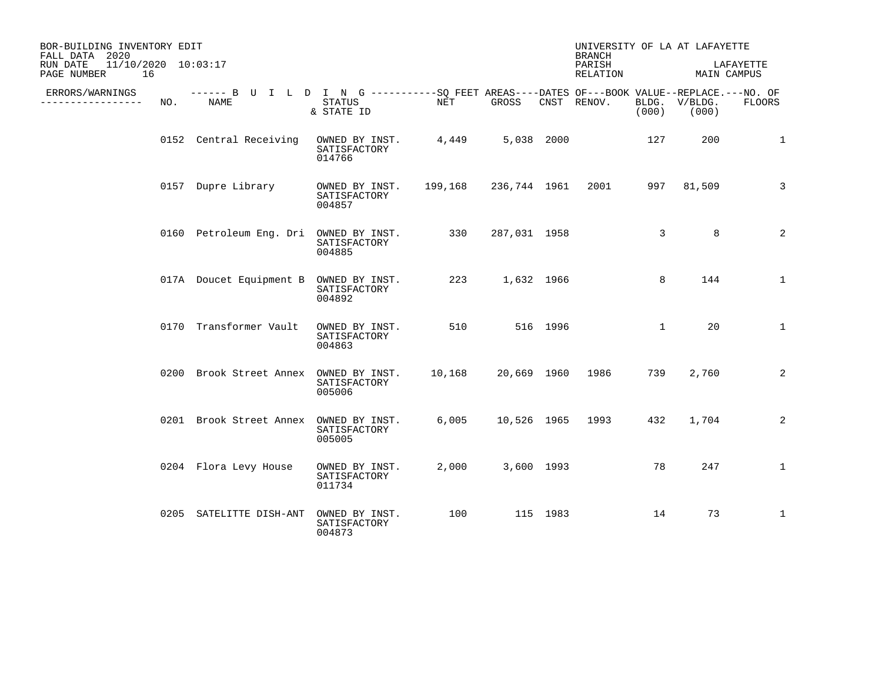| BOR-BUILDING INVENTORY EDIT<br>FALL DATA 2020        |     |                                                                                                     |                                          |         |              |            | <b>BRANCH</b>      |                | UNIVERSITY OF LA AT LAFAYETTE |               |
|------------------------------------------------------|-----|-----------------------------------------------------------------------------------------------------|------------------------------------------|---------|--------------|------------|--------------------|----------------|-------------------------------|---------------|
| 11/10/2020 10:03:17<br>RUN DATE<br>16<br>PAGE NUMBER |     |                                                                                                     |                                          |         |              |            | PARISH<br>RELATION |                | MAIN CAMPUS                   | LAFAYETTE     |
| ERRORS/WARNINGS<br>_____________                     | NO. | ------ B U I L D I N G -----------SQ FEET AREAS----DATES OF---BOOK VALUE--REPLACE.---NO. OF<br>NAME | STATUS<br>& STATE ID                     | NET     | GROSS        |            | CNST RENOV.        | BLDG.<br>(000) | V/BLDG.<br>(000)              | <b>FLOORS</b> |
|                                                      |     | 0152 Central Receiving                                                                              | OWNED BY INST.<br>SATISFACTORY<br>014766 | 4,449   |              | 5,038 2000 |                    | 127            | 200                           | 1             |
|                                                      |     | 0157 Dupre Library                                                                                  | OWNED BY INST.<br>SATISFACTORY<br>004857 | 199,168 | 236,744 1961 |            | 2001               |                | 997 81,509                    | 3             |
|                                                      |     | 0160 Petroleum Eng. Dri                                                                             | OWNED BY INST.<br>SATISFACTORY<br>004885 | 330     | 287,031 1958 |            |                    | $\mathbf{3}$   | 8                             | 2             |
|                                                      |     | 017A Doucet Equipment B                                                                             | OWNED BY INST.<br>SATISFACTORY<br>004892 | 223     |              | 1,632 1966 |                    | 8              | 144                           | $\mathbf{1}$  |
|                                                      |     | 0170 Transformer Vault                                                                              | OWNED BY INST.<br>SATISFACTORY<br>004863 | 510     | 516 1996     |            |                    | $\mathbf{1}$   | 20                            | $\mathbf{1}$  |
|                                                      |     | 0200 Brook Street Annex OWNED BY INST.                                                              | SATISFACTORY<br>005006                   | 10,168  |              |            | 20,669 1960 1986   | 739            | 2,760                         | 2             |
|                                                      |     | 0201 Brook Street Annex OWNED BY INST.                                                              | SATISFACTORY<br>005005                   | 6,005   |              |            | 10,526 1965 1993   | 432            | 1,704                         | 2             |
|                                                      |     | 0204 Flora Levy House                                                                               | OWNED BY INST.<br>SATISFACTORY<br>011734 | 2,000   |              | 3,600 1993 |                    | 78             | 247                           | $\mathbf{1}$  |
|                                                      |     | 0205 SATELITTE DISH-ANT                                                                             | OWNED BY INST.<br>SATISFACTORY<br>004873 | 100     |              | 115 1983   |                    | 14             | 73                            | $\mathbf{1}$  |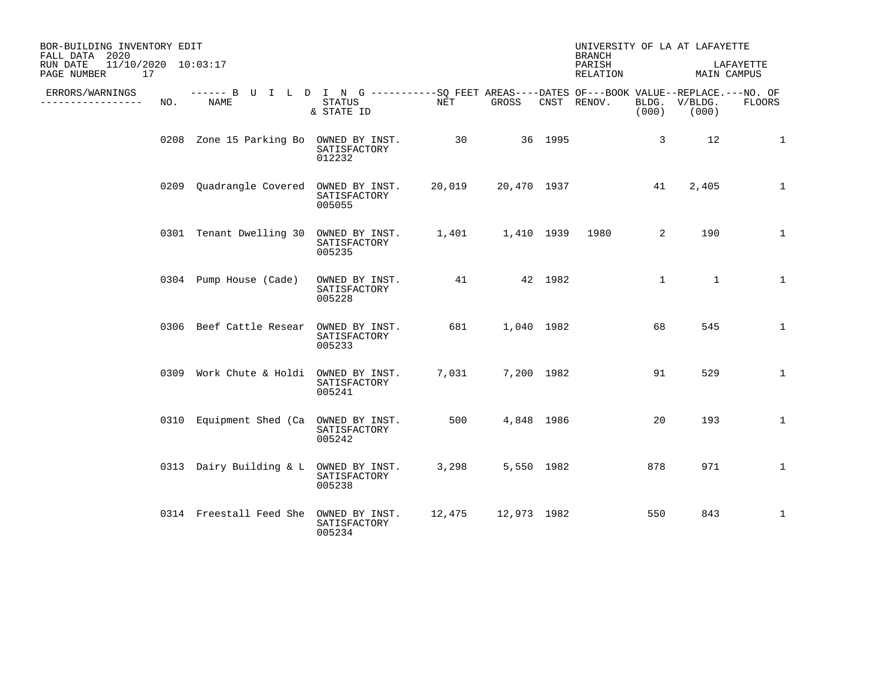| BOR-BUILDING INVENTORY EDIT<br>FALL DATA 2020        |     |                                                                                                            |                                          |        |             | UNIVERSITY OF LA AT LAFAYETTE<br><b>BRANCH</b> |                |                        |              |
|------------------------------------------------------|-----|------------------------------------------------------------------------------------------------------------|------------------------------------------|--------|-------------|------------------------------------------------|----------------|------------------------|--------------|
| 11/10/2020 10:03:17<br>RUN DATE<br>PAGE NUMBER<br>17 |     |                                                                                                            |                                          |        |             | PARISH<br>RELATION                             |                | MAIN CAMPUS            | LAFAYETTE    |
| ERRORS/WARNINGS<br>-------------                     | NO. | ------ B U I L D I N G -----------SQ FEET AREAS----DATES OF---BOOK VALUE--REPLACE.---NO. OF<br><b>NAME</b> | STATUS<br>& STATE ID                     | NET    | GROSS       | CNST RENOV.                                    | (000)          | BLDG. V/BLDG.<br>(000) | FLOORS       |
|                                                      |     | 0208 Zone 15 Parking Bo OWNED BY INST. 30 36 1995                                                          | SATISFACTORY<br>012232                   |        |             |                                                | $\overline{3}$ | 12                     | $\mathbf{1}$ |
|                                                      |     | 0209 Quadrangle Covered OWNED BY INST.                                                                     | SATISFACTORY<br>005055                   | 20,019 | 20,470 1937 |                                                | 41             | 2,405                  | $\mathbf{1}$ |
|                                                      |     | 0301 Tenant Dwelling 30 OWNED BY INST. 1,401 1,410 1939 1980                                               | SATISFACTORY<br>005235                   |        |             |                                                | 2              | 190                    | $\mathbf{1}$ |
|                                                      |     | 0304 Pump House (Cade)                                                                                     | OWNED BY INST.<br>SATISFACTORY<br>005228 |        | 41 42 1982  |                                                | $\mathbf{1}$   | $\mathbf{1}$           | $\mathbf{1}$ |
|                                                      |     | 0306 Beef Cattle Resear OWNED BY INST.                                                                     | SATISFACTORY<br>005233                   | 681    | 1,040 1982  |                                                | 68             | 545                    | $\mathbf{1}$ |
|                                                      |     | 0309 Work Chute & Holdi OWNED BY INST.                                                                     | SATISFACTORY<br>005241                   | 7,031  | 7,200 1982  |                                                | 91             | 529                    | $\mathbf{1}$ |
|                                                      |     | 0310 Equipment Shed (Ca OWNED BY INST.                                                                     | SATISFACTORY<br>005242                   | 500    | 4,848 1986  |                                                | 20             | 193                    | $\mathbf{1}$ |
|                                                      |     | 0313 Dairy Building & L OWNED BY INST.                                                                     | SATISFACTORY<br>005238                   | 3,298  | 5,550 1982  |                                                | 878            | 971                    | $\mathbf{1}$ |
|                                                      |     | 0314 Freestall Feed She OWNED BY INST. 12,475 12,973 1982                                                  | SATISFACTORY<br>005234                   |        |             |                                                | 550            | 843                    | $\mathbf{1}$ |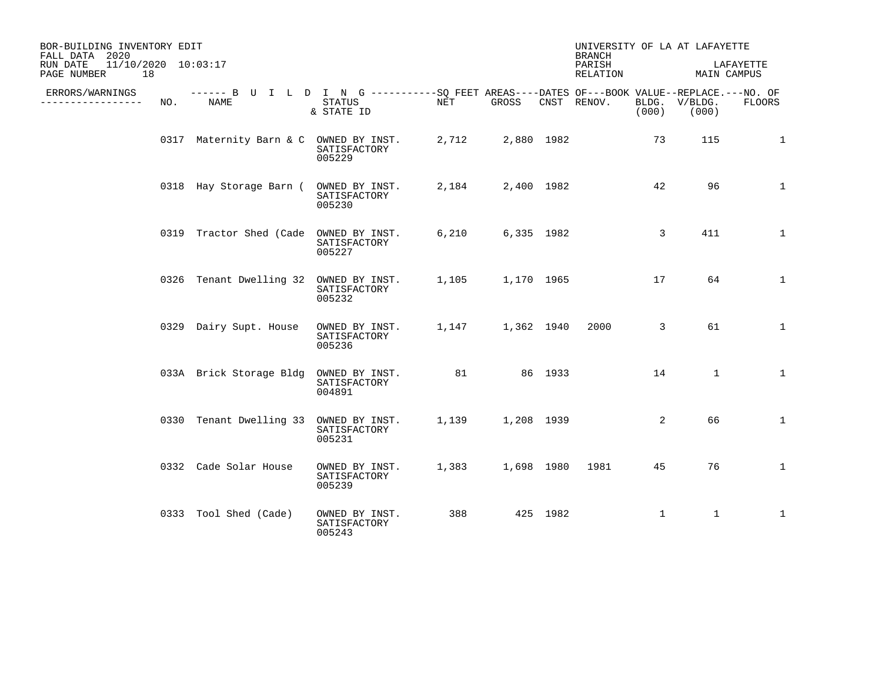| BOR-BUILDING INVENTORY EDIT<br>FALL DATA 2020            |     |                                                                                                    |                                          |       |                  | UNIVERSITY OF LA AT LAFAYETTE<br><b>BRANCH</b> |       |                        |              |
|----------------------------------------------------------|-----|----------------------------------------------------------------------------------------------------|------------------------------------------|-------|------------------|------------------------------------------------|-------|------------------------|--------------|
| $11/10/2020$ $10:03:17$<br>RUN DATE<br>PAGE NUMBER<br>18 |     |                                                                                                    |                                          |       |                  | PARISH<br>RELATION                             |       | MAIN CAMPUS            | LAFAYETTE    |
| ERRORS/WARNINGS<br>______________                        | NO. | ------ B U I L D I N G ----------SO FEET AREAS----DATES OF---BOOK VALUE--REPLACE.---NO. OF<br>NAME | STATUS<br>& STATE ID                     | NET   | GROSS            | CNST RENOV.                                    | (000) | BLDG. V/BLDG.<br>(000) | FLOORS       |
|                                                          |     | 0317 Maternity Barn & C OWNED BY INST.                                                             | SATISFACTORY<br>005229                   | 2,712 | 2,880 1982       |                                                | 73    | 115                    | 1            |
|                                                          |     | 0318 Hay Storage Barn (                                                                            | OWNED BY INST.<br>SATISFACTORY<br>005230 | 2,184 | 2,400 1982       |                                                | 42    | 96                     | $\mathbf{1}$ |
|                                                          |     | 0319 Tractor Shed (Cade OWNED BY INST.                                                             | SATISFACTORY<br>005227                   |       | 6,210 6,335 1982 |                                                | 3     | 411                    | $\mathbf{1}$ |
|                                                          |     | 0326 Tenant Dwelling 32 OWNED BY INST.                                                             | SATISFACTORY<br>005232                   |       | 1,105 1,170 1965 |                                                | 17    | 64                     | $\mathbf{1}$ |
|                                                          |     | 0329 Dairy Supt. House                                                                             | OWNED BY INST.<br>SATISFACTORY<br>005236 |       | 1,147 1,362 1940 | 2000                                           | 3     | 61                     | $\mathbf{1}$ |
|                                                          |     | 033A Brick Storage Bldg                                                                            | OWNED BY INST.<br>SATISFACTORY<br>004891 | 81    | 86 1933          |                                                | 14    | $\mathbf{1}$           | 1            |
|                                                          |     | 0330 Tenant Dwelling 33 OWNED BY INST.                                                             | SATISFACTORY<br>005231                   |       | 1,139 1,208 1939 |                                                | 2     | 66                     | $\mathbf{1}$ |
|                                                          |     | 0332 Cade Solar House                                                                              | OWNED BY INST.<br>SATISFACTORY<br>005239 | 1,383 |                  | 1,698 1980 1981                                | 45    | 76                     | $\mathbf{1}$ |
|                                                          |     | 0333 Tool Shed (Cade)                                                                              | OWNED BY INST.<br>SATISFACTORY<br>005243 | 388   | 425 1982         |                                                | 1     | $\mathbf{1}$           | $\mathbf{1}$ |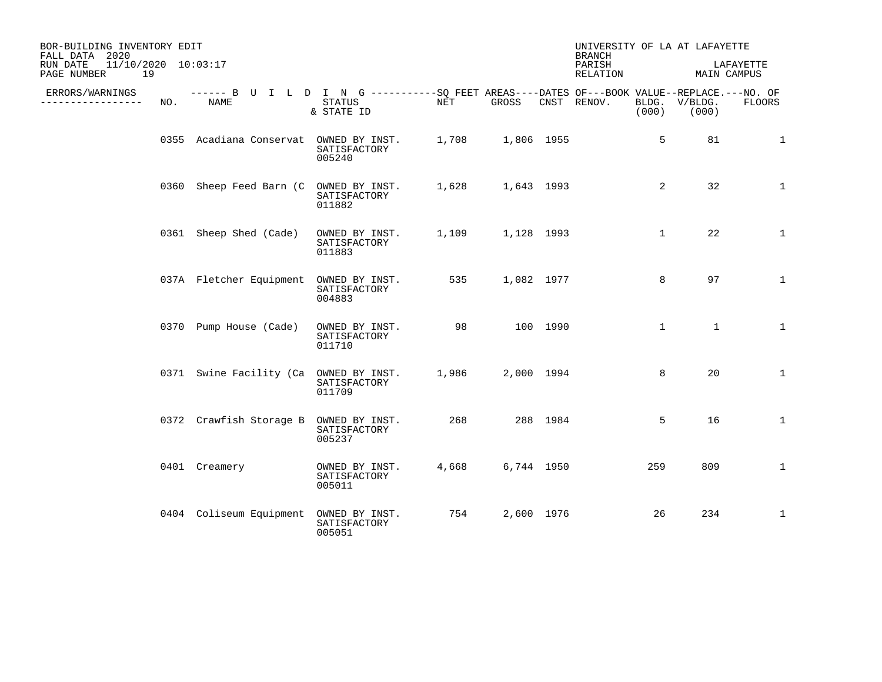| BOR-BUILDING INVENTORY EDIT<br>FALL DATA 2020        |     |                                                                                                           |                                          |       |            |          | UNIVERSITY OF LA AT LAFAYETTE<br><b>BRANCH</b> |                |                        |              |
|------------------------------------------------------|-----|-----------------------------------------------------------------------------------------------------------|------------------------------------------|-------|------------|----------|------------------------------------------------|----------------|------------------------|--------------|
| 11/10/2020 10:03:17<br>RUN DATE<br>19<br>PAGE NUMBER |     |                                                                                                           |                                          |       |            |          | PARISH<br>RELATION                             |                | MAIN CAMPUS            | LAFAYETTE    |
| ERRORS/WARNINGS<br>---------------                   | NO. | ------ B U I L D I N G ----------SQ FEET AREAS----DATES OF---BOOK VALUE--REPLACE.---NO. OF<br><b>NAME</b> | STATUS<br>& STATE ID                     | NET   | GROSS      |          | CNST RENOV.                                    | (000)          | BLDG. V/BLDG.<br>(000) | FLOORS       |
|                                                      |     | 0355 Acadiana Conservat OWNED BY INST.                                                                    | SATISFACTORY<br>005240                   | 1,708 | 1,806 1955 |          |                                                | 5              | 81                     | $\mathbf{1}$ |
|                                                      |     | 0360 Sheep Feed Barn (C OWNED BY INST.                                                                    | SATISFACTORY<br>011882                   | 1,628 | 1,643 1993 |          |                                                | $\overline{2}$ | 32                     | $\mathbf{1}$ |
|                                                      |     | 0361 Sheep Shed (Cade)                                                                                    | OWNED BY INST.<br>SATISFACTORY<br>011883 | 1,109 | 1,128 1993 |          |                                                | $\mathbf{1}$   | 22                     | $\mathbf{1}$ |
|                                                      |     | 037A Fletcher Equipment                                                                                   | OWNED BY INST.<br>SATISFACTORY<br>004883 | 535   | 1,082 1977 |          |                                                | 8              | 97                     | $\mathbf{1}$ |
|                                                      |     | 0370 Pump House (Cade)                                                                                    | OWNED BY INST.<br>SATISFACTORY<br>011710 | 98    |            | 100 1990 |                                                | $\mathbf{1}$   | $\mathbf{1}$           | $\mathbf{1}$ |
|                                                      |     | 0371 Swine Facility (Ca OWNED BY INST.                                                                    | SATISFACTORY<br>011709                   | 1,986 | 2,000 1994 |          |                                                | 8              | 20                     | $\mathbf{1}$ |
|                                                      |     | 0372 Crawfish Storage B                                                                                   | OWNED BY INST.<br>SATISFACTORY<br>005237 | 268   |            | 288 1984 |                                                | 5              | 16                     | $\mathbf{1}$ |
|                                                      |     | 0401 Creamery                                                                                             | OWNED BY INST.<br>SATISFACTORY<br>005011 | 4,668 | 6,744 1950 |          |                                                | 259            | 809                    | $\mathbf{1}$ |
|                                                      |     | 0404 Coliseum Equipment                                                                                   | OWNED BY INST.<br>SATISFACTORY<br>005051 | 754   | 2,600 1976 |          |                                                | 26             | 234                    | $\mathbf{1}$ |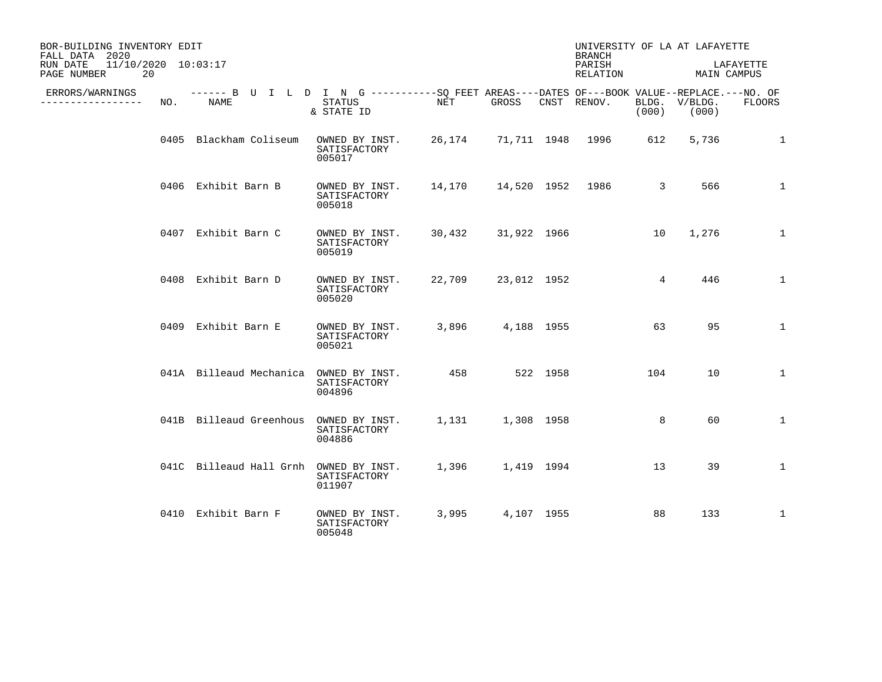| BOR-BUILDING INVENTORY EDIT<br>FALL DATA 2020        |     |                                                                                                           |                                          |        |                    |          | UNIVERSITY OF LA AT LAFAYETTE<br><b>BRANCH</b> |       |                        |               |
|------------------------------------------------------|-----|-----------------------------------------------------------------------------------------------------------|------------------------------------------|--------|--------------------|----------|------------------------------------------------|-------|------------------------|---------------|
| 11/10/2020 10:03:17<br>RUN DATE<br>20<br>PAGE NUMBER |     |                                                                                                           |                                          |        |                    |          | PARISH<br>RELATION                             |       | MAIN CAMPUS            | LAFAYETTE     |
| ERRORS/WARNINGS<br>--------------                    | NO. | ------ B U I L D I N G ----------SO FEET AREAS----DATES OF---BOOK VALUE--REPLACE.---NO. OF<br><b>NAME</b> | <b>STATUS</b><br>& STATE ID              | NET    | GROSS              |          | CNST RENOV.                                    | (000) | BLDG. V/BLDG.<br>(000) | <b>FLOORS</b> |
|                                                      |     | 0405 Blackham Coliseum                                                                                    | OWNED BY INST.<br>SATISFACTORY<br>005017 |        |                    |          | 26,174 71,711 1948 1996                        | 612   | 5,736                  | 1             |
|                                                      |     | 0406 Exhibit Barn B                                                                                       | OWNED BY INST.<br>SATISFACTORY<br>005018 | 14,170 | 14,520 1952 1986   |          |                                                | 3     | 566                    | $\mathbf{1}$  |
|                                                      |     | 0407 Exhibit Barn C                                                                                       | OWNED BY INST.<br>SATISFACTORY<br>005019 |        | 30,432 31,922 1966 |          |                                                | 10    | 1,276                  | $\mathbf{1}$  |
|                                                      |     | 0408 Exhibit Barn D                                                                                       | OWNED BY INST.<br>SATISFACTORY<br>005020 | 22,709 | 23,012 1952        |          |                                                | 4     | 446                    | $\mathbf{1}$  |
|                                                      |     | 0409 Exhibit Barn E                                                                                       | OWNED BY INST.<br>SATISFACTORY<br>005021 | 3,896  | 4,188 1955         |          |                                                | 63    | 95                     | $\mathbf{1}$  |
|                                                      |     | 041A Billeaud Mechanica                                                                                   | OWNED BY INST.<br>SATISFACTORY<br>004896 | 458    |                    | 522 1958 |                                                | 104   | 10                     | 1             |
|                                                      |     | 041B Billeaud Greenhous                                                                                   | OWNED BY INST.<br>SATISFACTORY<br>004886 | 1,131  | 1,308 1958         |          |                                                | 8     | 60                     | $\mathbf{1}$  |
|                                                      |     | 041C Billeaud Hall Grnh OWNED BY INST.                                                                    | SATISFACTORY<br>011907                   | 1,396  | 1,419 1994         |          |                                                | 13    | 39                     | $\mathbf{1}$  |
|                                                      |     | 0410 Exhibit Barn F                                                                                       | OWNED BY INST.<br>SATISFACTORY<br>005048 | 3,995  | 4,107 1955         |          |                                                | 88    | 133                    | $\mathbf{1}$  |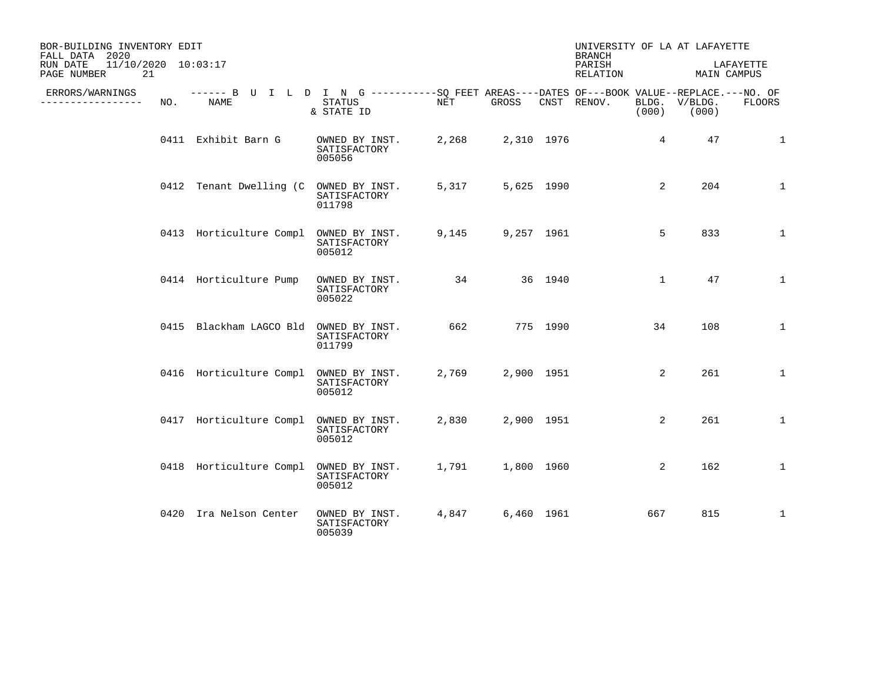| BOR-BUILDING INVENTORY EDIT<br>FALL DATA 2020        |     |                                                                                                           |                                          |       |            |            | UNIVERSITY OF LA AT LAFAYETTE<br><b>BRANCH</b> |                 |                        |              |
|------------------------------------------------------|-----|-----------------------------------------------------------------------------------------------------------|------------------------------------------|-------|------------|------------|------------------------------------------------|-----------------|------------------------|--------------|
| RUN DATE<br>11/10/2020 10:03:17<br>PAGE NUMBER<br>21 |     |                                                                                                           |                                          |       |            |            | PARISH<br>RELATION                             |                 | MAIN CAMPUS            | LAFAYETTE    |
| ERRORS/WARNINGS<br>---------------                   | NO. | ------ B U I L D I N G ----------SO FEET AREAS----DATES OF---BOOK VALUE--REPLACE.---NO. OF<br><b>NAME</b> | STATUS<br>& STATE ID                     | NET   | GROSS      |            | CNST RENOV.                                    | (000)           | BLDG. V/BLDG.<br>(000) | FLOORS       |
|                                                      |     | 0411 Exhibit Barn G                                                                                       | OWNED BY INST.<br>SATISFACTORY<br>005056 | 2,268 |            | 2,310 1976 |                                                | $4\overline{ }$ | 47                     | 1            |
|                                                      |     | 0412 Tenant Dwelling (C OWNED BY INST.                                                                    | SATISFACTORY<br>011798                   | 5,317 |            | 5,625 1990 |                                                | $\overline{2}$  | 204                    | $\mathbf{1}$ |
|                                                      |     | 0413 Horticulture Compl                                                                                   | OWNED BY INST.<br>SATISFACTORY<br>005012 | 9,145 |            | 9,257 1961 |                                                | 5               | 833                    | $\mathbf{1}$ |
|                                                      |     | 0414 Horticulture Pump                                                                                    | OWNED BY INST.<br>SATISFACTORY<br>005022 | 34    |            | 36 1940    |                                                | $\mathbf{1}$    | 47                     | $\mathbf{1}$ |
|                                                      |     | 0415 Blackham LAGCO Bld                                                                                   | OWNED BY INST.<br>SATISFACTORY<br>011799 | 662   |            | 775 1990   |                                                | 34              | 108                    | $\mathbf{1}$ |
|                                                      |     | 0416 Horticulture Compl                                                                                   | OWNED BY INST.<br>SATISFACTORY<br>005012 | 2,769 |            | 2,900 1951 |                                                | $\overline{2}$  | 261                    | $\mathbf{1}$ |
|                                                      |     | 0417 Horticulture Compl                                                                                   | OWNED BY INST.<br>SATISFACTORY<br>005012 | 2,830 |            | 2,900 1951 |                                                | $\overline{2}$  | 261                    | $\mathbf{1}$ |
|                                                      |     | 0418 Horticulture Compl                                                                                   | OWNED BY INST.<br>SATISFACTORY<br>005012 | 1,791 | 1,800 1960 |            |                                                | 2               | 162                    | $\mathbf{1}$ |
|                                                      |     | 0420 Ira Nelson Center                                                                                    | OWNED BY INST.<br>SATISFACTORY<br>005039 | 4,847 | 6,460 1961 |            |                                                | 667             | 815                    | 1            |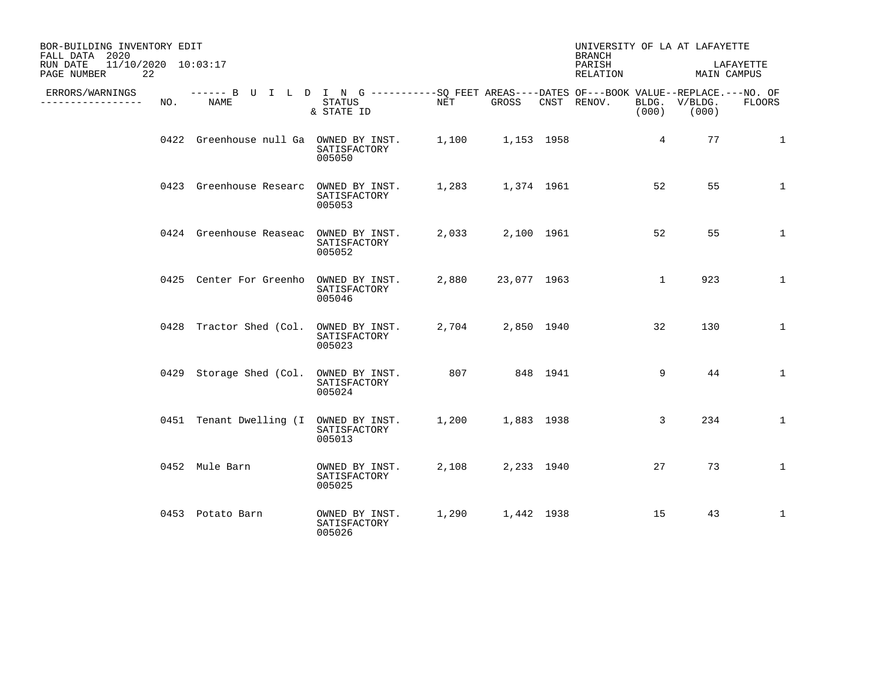| BOR-BUILDING INVENTORY EDIT<br>FALL DATA 2020        |     |                                        |                                                                                                                    |       |                  | UNIVERSITY OF LA AT LAFAYETTE<br><b>BRANCH</b> |                 |                        |               |
|------------------------------------------------------|-----|----------------------------------------|--------------------------------------------------------------------------------------------------------------------|-------|------------------|------------------------------------------------|-----------------|------------------------|---------------|
| 11/10/2020 10:03:17<br>RUN DATE<br>22<br>PAGE NUMBER |     |                                        |                                                                                                                    |       |                  | PARISH<br>RELATION                             |                 | MAIN CAMPUS            | LAFAYETTE     |
| ERRORS/WARNINGS<br>. <u>.</u>                        | NO. | NAME                                   | ------ B U I L D I N G ----------SO FEET AREAS----DATES OF---BOOK VALUE--REPLACE.---NO. OF<br>STATUS<br>& STATE ID | NET   | GROSS            | CNST RENOV.                                    | (000)           | BLDG. V/BLDG.<br>(000) | <b>FLOORS</b> |
|                                                      |     |                                        | 0422 Greenhouse null Ga OWNED BY INST. 1,100 1,153 1958<br>SATISFACTORY<br>005050                                  |       |                  |                                                | $4\overline{ }$ | 77                     | $\mathbf{1}$  |
|                                                      |     | 0423 Greenhouse Researc OWNED BY INST. | SATISFACTORY<br>005053                                                                                             |       | 1,283 1,374 1961 |                                                | 52              | 55                     | $\mathbf{1}$  |
|                                                      |     | 0424 Greenhouse Reaseac OWNED BY INST. | SATISFACTORY<br>005052                                                                                             |       | 2,033 2,100 1961 |                                                | 52              | 55                     | $\mathbf{1}$  |
|                                                      |     | 0425 Center For Greenho OWNED BY INST. | SATISFACTORY<br>005046                                                                                             | 2,880 | 23,077 1963      |                                                | $\mathbf{1}$    | 923                    | $\mathbf{1}$  |
|                                                      |     | 0428 Tractor Shed (Col.                | OWNED BY INST.<br>SATISFACTORY<br>005023                                                                           |       | 2,704 2,850 1940 |                                                | 32              | 130                    | $\mathbf{1}$  |
|                                                      |     | 0429 Storage Shed (Col. OWNED BY INST. | SATISFACTORY<br>005024                                                                                             | 807   | 848 1941         |                                                | 9               | 44                     | $\mathbf{1}$  |
|                                                      |     | 0451 Tenant Dwelling (I OWNED BY INST. | SATISFACTORY<br>005013                                                                                             |       | 1,200 1,883 1938 |                                                | 3               | 234                    | $\mathbf{1}$  |
|                                                      |     | 0452 Mule Barn                         | OWNED BY INST.<br>SATISFACTORY<br>005025                                                                           | 2,108 | 2,233 1940       |                                                | 27              | 73                     | $\mathbf{1}$  |
|                                                      |     | 0453 Potato Barn                       | OWNED BY INST.<br>SATISFACTORY<br>005026                                                                           |       | 1,290 1,442 1938 |                                                | 15              | 43                     | $\mathbf{1}$  |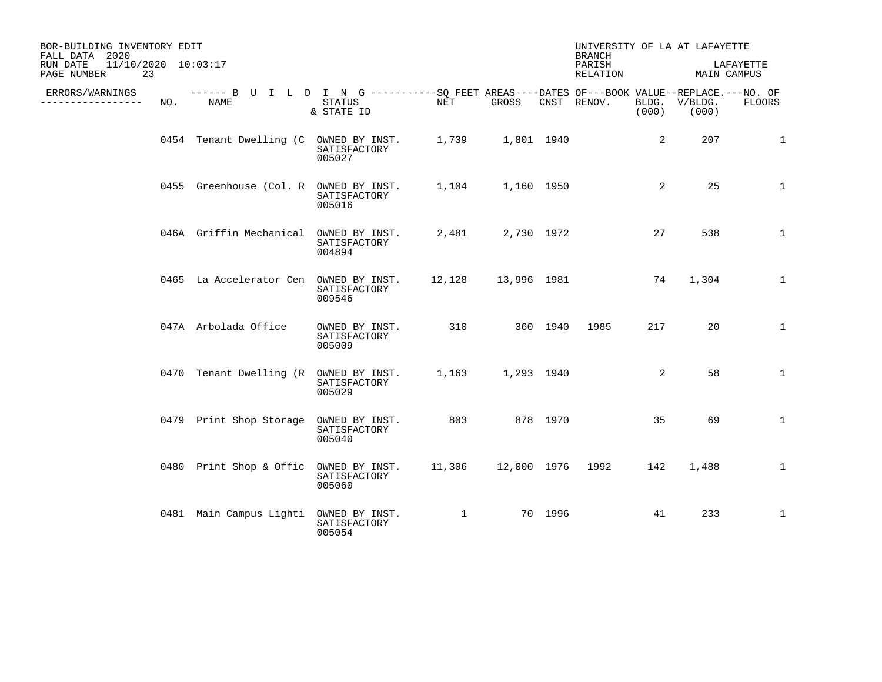| BOR-BUILDING INVENTORY EDIT<br>FALL DATA 2020        |     |                                                                                                     |                                          |                                                                                  |                   |         | <b>BRANCH</b>         |       | UNIVERSITY OF LA AT LAFAYETTE |              |
|------------------------------------------------------|-----|-----------------------------------------------------------------------------------------------------|------------------------------------------|----------------------------------------------------------------------------------|-------------------|---------|-----------------------|-------|-------------------------------|--------------|
| 11/10/2020 10:03:17<br>RUN DATE<br>PAGE NUMBER<br>23 |     |                                                                                                     |                                          |                                                                                  |                   |         | PARISH<br>RELATION    |       | MAIN CAMPUS                   | LAFAYETTE    |
| ERRORS/WARNINGS<br>-----------------                 | NO. | ------ B U I L D I N G -----------SQ FEET AREAS----DATES OF---BOOK VALUE--REPLACE.---NO. OF<br>NAME | STATUS<br>& STATE ID                     | NET                                                                              | GROSS             |         | CNST RENOV.           | (000) | BLDG. V/BLDG.<br>(000)        | FLOORS       |
|                                                      |     | 0454 Tenant Dwelling (C OWNED BY INST. 1,739 1,801 1940                                             | SATISFACTORY<br>005027                   |                                                                                  |                   |         |                       | 2     | 207                           | 1            |
|                                                      |     | 0455 Greenhouse (Col. R OWNED BY INST.                                                              | SATISFACTORY<br>005016                   |                                                                                  | 1,104 1,160 1950  |         |                       | 2     | 25                            | 1            |
|                                                      |     | 046A Griffin Mechanical OWNED BY INST.                                                              | SATISFACTORY<br>004894                   |                                                                                  | 2,481 2,730 1972  |         |                       | 27    | 538                           | $\mathbf{1}$ |
|                                                      |     | 0465 La Accelerator Cen OWNED BY INST.                                                              | SATISFACTORY<br>009546                   |                                                                                  |                   |         | 12,128 13,996 1981 74 |       | 1,304                         | $\mathbf{1}$ |
|                                                      |     | 047A Arbolada Office                                                                                | OWNED BY INST.<br>SATISFACTORY<br>005009 |                                                                                  | 310 360 1940 1985 |         |                       | 217   | 20                            | $\mathbf{1}$ |
|                                                      |     | 0470 Tenant Dwelling (R OWNED BY INST.                                                              | SATISFACTORY<br>005029                   |                                                                                  | 1,163 1,293 1940  |         |                       | 2     | 58                            | $\mathbf{1}$ |
|                                                      |     | 0479 Print Shop Storage OWNED BY INST.                                                              | SATISFACTORY<br>005040                   | 803 878 1970                                                                     |                   |         |                       | 35    | 69                            | $\mathbf{1}$ |
|                                                      |     | 0480 Print Shop & Offic OWNED BY INST.                                                              | SATISFACTORY<br>005060                   |                                                                                  |                   |         |                       | 142   | 1,488                         | $\mathbf{1}$ |
|                                                      |     | 0481 Main Campus Lighti OWNED BY INST.                                                              | SATISFACTORY<br>005054                   | $\mathbf{1}$ and $\mathbf{1}$ and $\mathbf{1}$ and $\mathbf{1}$ and $\mathbf{1}$ |                   | 70 1996 |                       | 41    | 233                           | $\mathbf{1}$ |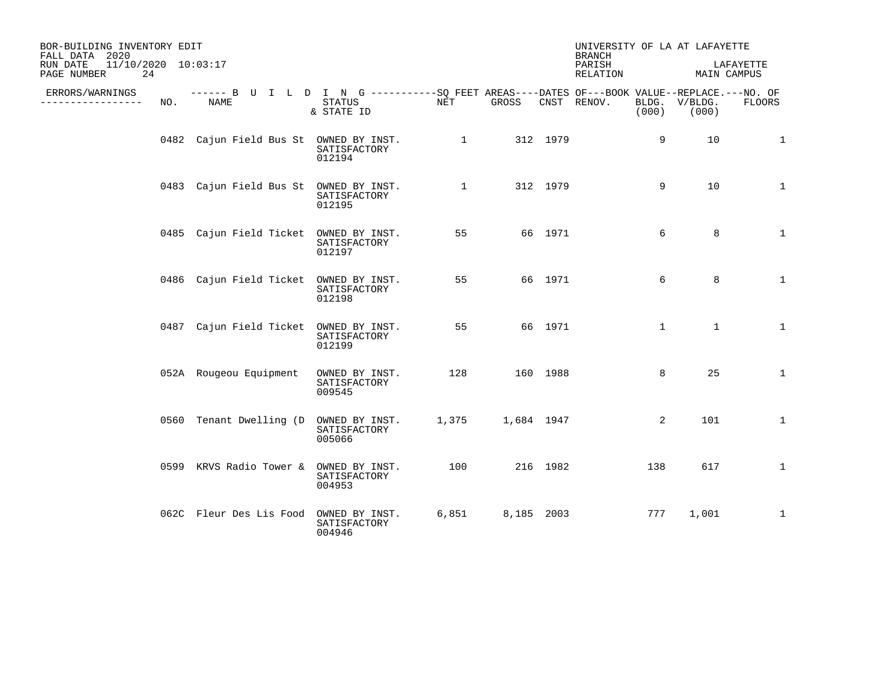| BOR-BUILDING INVENTORY EDIT<br>FALL DATA 2020        |     |                                                                                                    |                                          |              |            |          | UNIVERSITY OF LA AT LAFAYETTE<br><b>BRANCH</b> |              |                        |               |
|------------------------------------------------------|-----|----------------------------------------------------------------------------------------------------|------------------------------------------|--------------|------------|----------|------------------------------------------------|--------------|------------------------|---------------|
| 11/10/2020 10:03:17<br>RUN DATE<br>24<br>PAGE NUMBER |     |                                                                                                    |                                          |              |            |          | PARISH<br>RELATION                             |              | MAIN CAMPUS            | LAFAYETTE     |
| ERRORS/WARNINGS<br>----------------                  | NO. | ------ B U I L D I N G ----------SQ FEET AREAS----DATES OF---BOOK VALUE--REPLACE.---NO. OF<br>NAME | STATUS<br>& STATE ID                     | NET          | GROSS      |          | CNST RENOV.                                    | (000)        | BLDG. V/BLDG.<br>(000) | <b>FLOORS</b> |
|                                                      |     | 0482 Cajun Field Bus St OWNED BY INST.                                                             | SATISFACTORY<br>012194                   | $\mathbf{1}$ |            | 312 1979 |                                                | 9            | 10                     | $\mathbf{1}$  |
|                                                      |     | 0483 Cajun Field Bus St OWNED BY INST.                                                             | SATISFACTORY<br>012195                   | $\mathbf{1}$ |            | 312 1979 |                                                | 9            | 10                     | $\mathbf{1}$  |
|                                                      |     | 0485 Cajun Field Ticket OWNED BY INST.                                                             | SATISFACTORY<br>012197                   | 55           |            | 66 1971  |                                                | 6            | 8                      | $\mathbf{1}$  |
|                                                      |     | 0486 Cajun Field Ticket OWNED BY INST.                                                             | SATISFACTORY<br>012198                   | 55           |            | 66 1971  |                                                | 6            | 8                      | $\mathbf{1}$  |
|                                                      |     | 0487 Cajun Field Ticket OWNED BY INST.                                                             | SATISFACTORY<br>012199                   | 55           |            | 66 1971  |                                                | $\mathbf{1}$ | $\mathbf{1}$           | $\mathbf{1}$  |
|                                                      |     | 052A Rougeou Equipment                                                                             | OWNED BY INST.<br>SATISFACTORY<br>009545 | 128          |            | 160 1988 |                                                | 8            | 25                     | $\mathbf{1}$  |
|                                                      |     | 0560 Tenant Dwelling (D OWNED BY INST.                                                             | SATISFACTORY<br>005066                   | 1,375        | 1,684 1947 |          |                                                | 2            | 101                    | $\mathbf{1}$  |
|                                                      |     | 0599 KRVS Radio Tower & OWNED BY INST.                                                             | SATISFACTORY<br>004953                   | 100          |            | 216 1982 |                                                | 138          | 617                    | $\mathbf{1}$  |
|                                                      |     | 062C Fleur Des Lis Food OWNED BY INST.                                                             | SATISFACTORY<br>004946                   | 6,851        | 8,185 2003 |          |                                                | 777          | 1,001                  | $\mathbf{1}$  |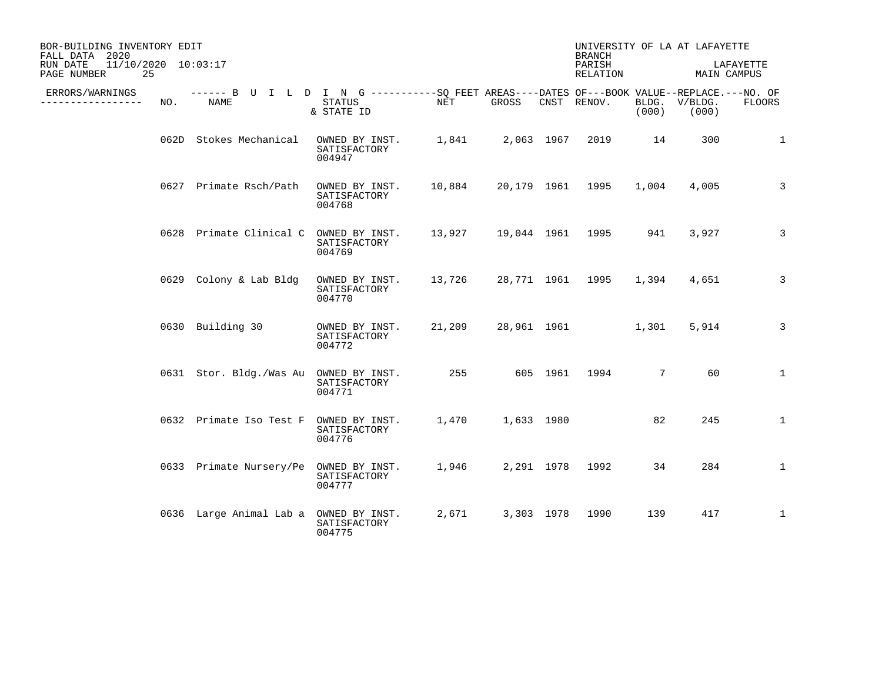| BOR-BUILDING INVENTORY EDIT<br>FALL DATA 2020        |     |                                                                                                           |                                          |        |       |            |                    |       | UNIVERSITY OF LA AT LAFAYETTE |               |
|------------------------------------------------------|-----|-----------------------------------------------------------------------------------------------------------|------------------------------------------|--------|-------|------------|--------------------|-------|-------------------------------|---------------|
| 11/10/2020 10:03:17<br>RUN DATE<br>25<br>PAGE NUMBER |     |                                                                                                           |                                          |        |       |            | PARISH<br>RELATION |       | LAFAYETTE<br>MAIN CAMPUS      |               |
| ERRORS/WARNINGS<br>------------                      | NO. | ------ B U I L D I N G ----------SQ FEET AREAS----DATES OF---BOOK VALUE--REPLACE.---NO. OF<br><b>NAME</b> | <b>STATUS</b><br>& STATE ID              | NET    | GROSS |            | CNST RENOV.        | (000) | BLDG. V/BLDG.<br>(000)        | <b>FLOORS</b> |
|                                                      |     | 062D Stokes Mechanical                                                                                    | OWNED BY INST.<br>SATISFACTORY<br>004947 | 1,841  |       | 2,063 1967 | 2019               | 14    | 300                           | $\mathbf{1}$  |
|                                                      |     | 0627 Primate Rsch/Path                                                                                    | OWNED BY INST.<br>SATISFACTORY<br>004768 | 10,884 |       |            | 20,179 1961 1995   | 1,004 | 4,005                         | 3             |
|                                                      |     | 0628 Primate Clinical C OWNED BY INST.                                                                    | SATISFACTORY<br>004769                   | 13,927 |       |            | 19,044 1961 1995   | 941   | 3,927                         | 3             |
|                                                      |     | 0629 Colony & Lab Bldg                                                                                    | OWNED BY INST.<br>SATISFACTORY<br>004770 | 13,726 |       |            | 28,771 1961 1995   | 1,394 | 4,651                         | 3             |
|                                                      |     | 0630 Building 30                                                                                          | OWNED BY INST.<br>SATISFACTORY<br>004772 | 21,209 |       |            | 28,961 1961        | 1,301 | 5,914                         | 3             |
|                                                      |     | 0631 Stor. Bldg./Was Au                                                                                   | OWNED BY INST.<br>SATISFACTORY<br>004771 | 255    |       |            | 605 1961 1994      | 7     | 60                            | $\mathbf{1}$  |
|                                                      |     | 0632 Primate Iso Test F                                                                                   | OWNED BY INST.<br>SATISFACTORY<br>004776 | 1,470  |       | 1,633 1980 |                    | 82    | 245                           | $\mathbf{1}$  |
|                                                      |     | 0633 Primate Nursery/Pe                                                                                   | OWNED BY INST.<br>SATISFACTORY<br>004777 | 1,946  |       | 2,291 1978 | 1992               | 34    | 284                           | $\mathbf{1}$  |
|                                                      |     | 0636 Large Animal Lab a                                                                                   | OWNED BY INST.<br>SATISFACTORY<br>004775 | 2,671  |       | 3,303 1978 | 1990               | 139   | 417                           | $\mathbf{1}$  |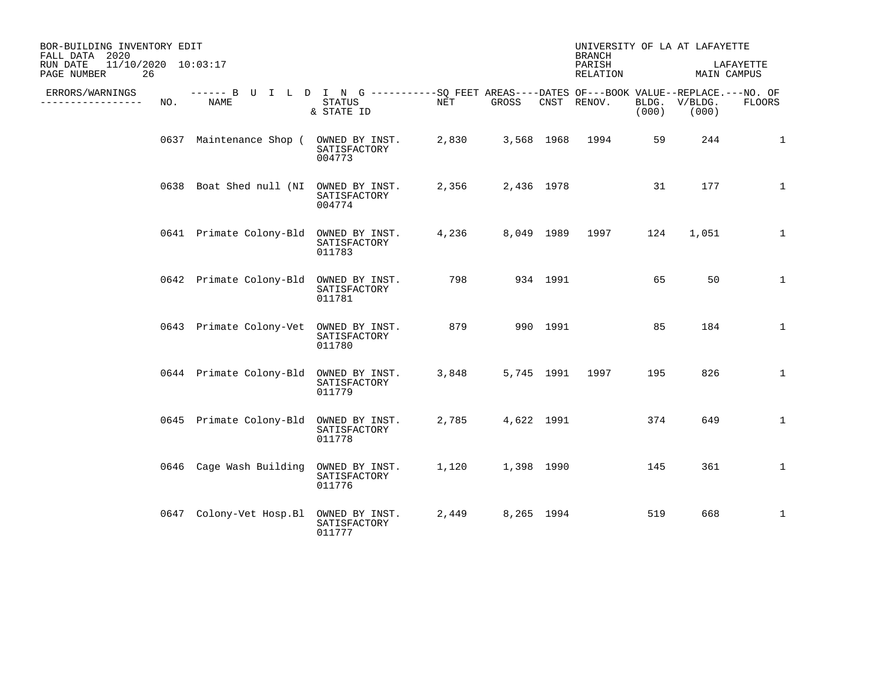| BOR-BUILDING INVENTORY EDIT<br>FALL DATA 2020        |      |                                                                                                           |                                          |            |            |            |                    | UNIVERSITY OF LA AT LAFAYETTE<br><b>BRANCH</b> |                  |                          |  |
|------------------------------------------------------|------|-----------------------------------------------------------------------------------------------------------|------------------------------------------|------------|------------|------------|--------------------|------------------------------------------------|------------------|--------------------------|--|
| 11/10/2020 10:03:17<br>RUN DATE<br>26<br>PAGE NUMBER |      |                                                                                                           |                                          |            |            |            | PARISH<br>RELATION |                                                |                  | LAFAYETTE<br>MAIN CAMPUS |  |
| ERRORS/WARNINGS<br>-----------                       | NO.  | ------ B U I L D I N G ----------SO FEET AREAS----DATES OF---BOOK VALUE--REPLACE.---NO. OF<br><b>NAME</b> | <b>STATUS</b><br>& STATE ID              | <b>NET</b> | GROSS      |            | CNST RENOV.        | BLDG.<br>(000)                                 | V/BLDG.<br>(000) | <b>FLOORS</b>            |  |
|                                                      |      | 0637 Maintenance Shop ( OWNED BY INST.                                                                    | SATISFACTORY<br>004773                   | 2,830      |            |            | 3,568 1968 1994    | 59                                             | 244              | $\mathbf{1}$             |  |
|                                                      |      | 0638 Boat Shed null (NI OWNED BY INST.                                                                    | SATISFACTORY<br>004774                   | 2,356      |            | 2,436 1978 |                    | 31                                             | 177              | $\mathbf{1}$             |  |
|                                                      |      | 0641 Primate Colony-Bld OWNED BY INST.                                                                    | SATISFACTORY<br>011783                   | 4,236      |            |            | 8,049 1989 1997    | 124                                            | 1,051            | $\mathbf{1}$             |  |
|                                                      |      | 0642 Primate Colony-Bld                                                                                   | OWNED BY INST.<br>SATISFACTORY<br>011781 | 798        |            | 934 1991   |                    | 65                                             | 50               | $\mathbf{1}$             |  |
|                                                      |      | 0643 Primate Colony-Vet                                                                                   | OWNED BY INST.<br>SATISFACTORY<br>011780 | 879        |            | 990 1991   |                    | 85                                             | 184              | $\mathbf{1}$             |  |
|                                                      |      | 0644 Primate Colony-Bld                                                                                   | OWNED BY INST.<br>SATISFACTORY<br>011779 | 3,848      |            | 5,745 1991 | 1997               | 195                                            | 826              | $\mathbf{1}$             |  |
|                                                      |      | 0645 Primate Colony-Bld                                                                                   | OWNED BY INST.<br>SATISFACTORY<br>011778 | 2,785      |            | 4,622 1991 |                    | 374                                            | 649              | $\mathbf{1}$             |  |
|                                                      | 0646 | Cage Wash Building                                                                                        | OWNED BY INST.<br>SATISFACTORY<br>011776 | 1,120      | 1,398 1990 |            |                    | 145                                            | 361              | $\mathbf{1}$             |  |
|                                                      |      | 0647 Colony-Vet Hosp.Bl                                                                                   | OWNED BY INST.<br>SATISFACTORY<br>011777 | 2,449      |            | 8,265 1994 |                    | 519                                            | 668              | $\mathbf{1}$             |  |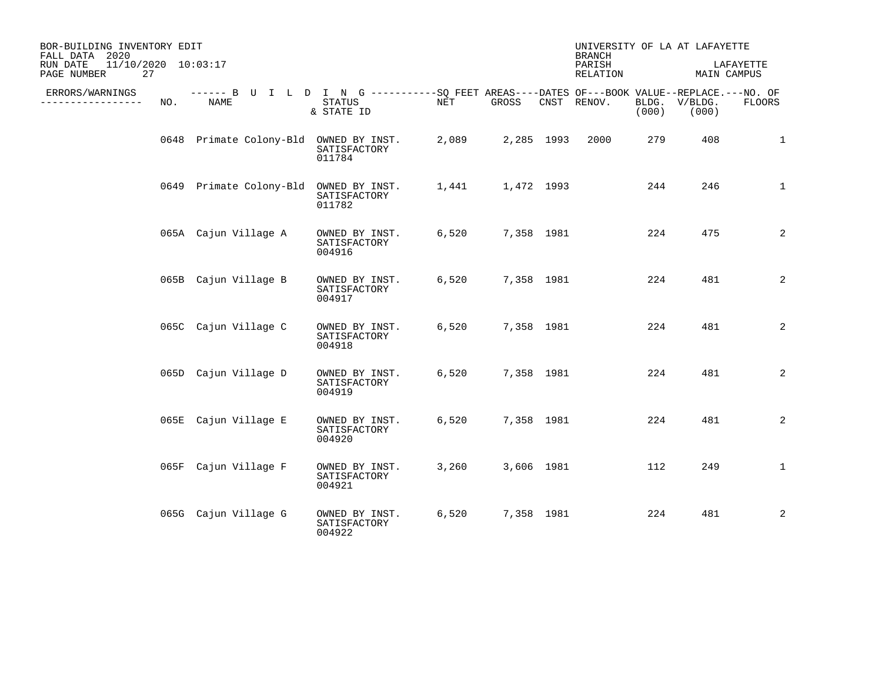| BOR-BUILDING INVENTORY EDIT<br>FALL DATA 2020        |     |                                        |                                                                                                                    |       |            |            |                    |                | UNIVERSITY OF LA AT LAFAYETTE |                |
|------------------------------------------------------|-----|----------------------------------------|--------------------------------------------------------------------------------------------------------------------|-------|------------|------------|--------------------|----------------|-------------------------------|----------------|
| 11/10/2020 10:03:17<br>RUN DATE<br>27<br>PAGE NUMBER |     |                                        |                                                                                                                    |       |            |            | PARISH<br>RELATION |                | LAFAYETTE<br>MAIN CAMPUS      |                |
| ERRORS/WARNINGS<br>---------------                   | NO. | NAME                                   | ------ B U I L D I N G ----------SO FEET AREAS----DATES OF---BOOK VALUE--REPLACE.---NO. OF<br>STATUS<br>& STATE ID | NET   | GROSS      |            | CNST RENOV.        | BLDG.<br>(000) | V/BLDG.<br>(000)              | FLOORS         |
|                                                      |     | 0648 Primate Colony-Bld OWNED BY INST. | SATISFACTORY<br>011784                                                                                             | 2,089 | 2,285 1993 |            | 2000               | 279            | 408                           | $\mathbf{1}$   |
|                                                      |     | 0649 Primate Colony-Bld                | OWNED BY INST.<br>SATISFACTORY<br>011782                                                                           | 1,441 | 1,472 1993 |            |                    | 244            | 246                           | $\mathbf{1}$   |
|                                                      |     | 065A Cajun Village A                   | OWNED BY INST.<br>SATISFACTORY<br>004916                                                                           | 6,520 | 7,358 1981 |            |                    | 224            | 475                           | 2              |
|                                                      |     | 065B Cajun Village B                   | OWNED BY INST.<br>SATISFACTORY<br>004917                                                                           | 6,520 | 7,358 1981 |            |                    | 224            | 481                           | 2              |
|                                                      |     | 065C Cajun Village C                   | OWNED BY INST.<br>SATISFACTORY<br>004918                                                                           | 6,520 | 7,358 1981 |            |                    | 224            | 481                           | 2              |
|                                                      |     | 065D Cajun Village D                   | OWNED BY INST.<br>SATISFACTORY<br>004919                                                                           | 6,520 | 7,358 1981 |            |                    | 224            | 481                           | $\overline{c}$ |
|                                                      |     | 065E Cajun Village E                   | OWNED BY INST.<br>SATISFACTORY<br>004920                                                                           | 6,520 |            | 7,358 1981 |                    | 224            | 481                           | 2              |
|                                                      |     | 065F Cajun Village F                   | OWNED BY INST.<br>SATISFACTORY<br>004921                                                                           | 3,260 |            | 3,606 1981 |                    | 112            | 249                           | $\mathbf{1}$   |
|                                                      |     | 065G Cajun Village G                   | OWNED BY INST.<br>SATISFACTORY<br>004922                                                                           | 6,520 |            | 7,358 1981 |                    | 224            | 481                           | $\overline{2}$ |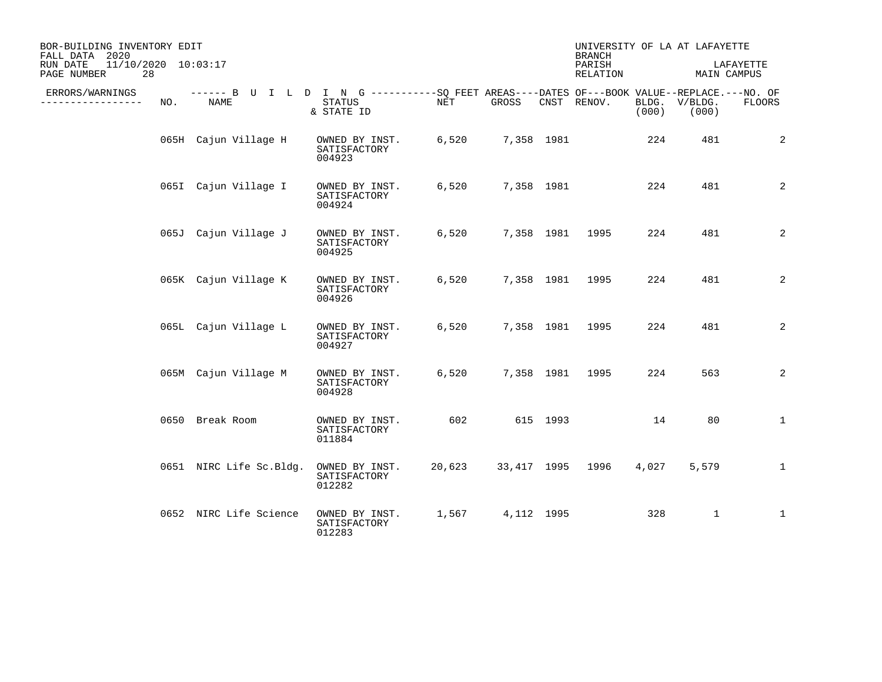| BOR-BUILDING INVENTORY EDIT<br>FALL DATA 2020        |     |                         |                                                                                                                    |        |            | <b>BRANCH</b>      |       | UNIVERSITY OF LA AT LAFAYETTE |              |
|------------------------------------------------------|-----|-------------------------|--------------------------------------------------------------------------------------------------------------------|--------|------------|--------------------|-------|-------------------------------|--------------|
| 11/10/2020 10:03:17<br>RUN DATE<br>PAGE NUMBER<br>28 |     |                         |                                                                                                                    |        |            | PARISH<br>RELATION |       | MAIN CAMPUS                   | LAFAYETTE    |
| ERRORS/WARNINGS<br>. <u>.</u> .                      | NO. | NAME                    | ------ B U I L D I N G ----------SO FEET AREAS----DATES OF---BOOK VALUE--REPLACE.---NO. OF<br>STATUS<br>& STATE ID | NET    | GROSS      | CNST RENOV.        | (000) | BLDG. V/BLDG.<br>(000)        | FLOORS       |
|                                                      |     | 065H Cajun Village H    | OWNED BY INST.<br>SATISFACTORY<br>004923                                                                           | 6,520  | 7,358 1981 |                    | 224   | 481                           | 2            |
|                                                      |     | 065I Cajun Village I    | OWNED BY INST.<br>SATISFACTORY<br>004924                                                                           | 6,520  | 7,358 1981 |                    | 224   | 481                           | 2            |
|                                                      |     | 065J Cajun Village J    | OWNED BY INST.<br>SATISFACTORY<br>004925                                                                           | 6,520  |            | 7,358 1981 1995    | 224   | 481                           | 2            |
|                                                      |     | 065K Cajun Village K    | OWNED BY INST.<br>SATISFACTORY<br>004926                                                                           | 6,520  |            | 7,358 1981 1995    | 224   | 481                           | 2            |
|                                                      |     | 065L Cajun Village L    | OWNED BY INST.<br>SATISFACTORY<br>004927                                                                           | 6,520  |            | 7,358 1981 1995    | 224   | 481                           | 2            |
|                                                      |     | 065M Cajun Village M    | OWNED BY INST.<br>SATISFACTORY<br>004928                                                                           | 6,520  |            | 7,358 1981 1995    | 224   | 563                           | 2            |
|                                                      |     | 0650 Break Room         | OWNED BY INST.<br>SATISFACTORY<br>011884                                                                           | 602    | 615 1993   |                    | 14    | 80                            | $\mathbf{1}$ |
|                                                      |     | 0651 NIRC Life Sc.Bldg. | OWNED BY INST.<br>SATISFACTORY<br>012282                                                                           | 20,623 |            | 33,417 1995 1996   | 4,027 | 5,579                         | $\mathbf{1}$ |
|                                                      |     | 0652 NIRC Life Science  | OWNED BY INST.<br>SATISFACTORY<br>012283                                                                           | 1,567  | 4,112 1995 |                    | 328   | $\mathbf{1}$                  | 1            |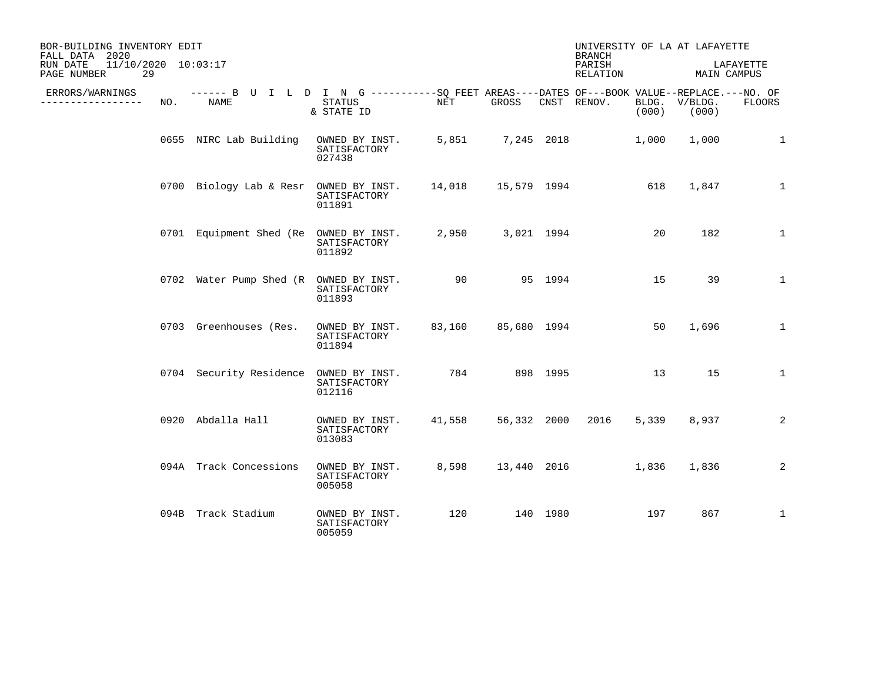| BOR-BUILDING INVENTORY EDIT<br>FALL DATA 2020        |     |                                                                                                           |                                          |                      |                    |          |                    | UNIVERSITY OF LA AT LAFAYETTE<br><b>BRANCH</b> |                          |                |  |  |
|------------------------------------------------------|-----|-----------------------------------------------------------------------------------------------------------|------------------------------------------|----------------------|--------------------|----------|--------------------|------------------------------------------------|--------------------------|----------------|--|--|
| 11/10/2020 10:03:17<br>RUN DATE<br>29<br>PAGE NUMBER |     |                                                                                                           |                                          |                      |                    |          | PARISH<br>RELATION |                                                | LAFAYETTE<br>MAIN CAMPUS |                |  |  |
| ERRORS/WARNINGS<br>.                                 | NO. | ------ B U I L D I N G ----------SO FEET AREAS----DATES OF---BOOK VALUE--REPLACE.---NO. OF<br><b>NAME</b> | STATUS<br>& STATE ID                     | NET                  | GROSS              |          | CNST RENOV.        | (000)                                          | BLDG. V/BLDG.<br>(000)   | <b>FLOORS</b>  |  |  |
|                                                      |     | 0655 NIRC Lab Building                                                                                    | OWNED BY INST.<br>SATISFACTORY<br>027438 |                      |                    |          | 5,851 7,245 2018   | 1,000                                          | 1,000                    | 1              |  |  |
|                                                      |     | 0700 Biology Lab & Resr OWNED BY INST.                                                                    | SATISFACTORY<br>011891                   | 14,018  15,579  1994 |                    |          |                    | 618                                            | 1,847                    | $\mathbf{1}$   |  |  |
|                                                      |     | 0701 Equipment Shed (Re OWNED BY INST.                                                                    | SATISFACTORY<br>011892                   |                      | 2,950 3,021 1994   |          |                    | 20                                             | 182                      | $\mathbf{1}$   |  |  |
|                                                      |     | 0702 Water Pump Shed (R OWNED BY INST.                                                                    | SATISFACTORY<br>011893                   | 90                   |                    | 95 1994  |                    | 15                                             | 39                       | $\mathbf{1}$   |  |  |
|                                                      |     | 0703 Greenhouses (Res.                                                                                    | OWNED BY INST.<br>SATISFACTORY<br>011894 |                      | 83,160 85,680 1994 |          |                    | 50                                             | 1,696                    | $\mathbf{1}$   |  |  |
|                                                      |     | 0704 Security Residence                                                                                   | OWNED BY INST.<br>SATISFACTORY<br>012116 | 784 898 1995         |                    |          |                    | 13                                             | 15                       | $\mathbf{1}$   |  |  |
|                                                      |     | 0920 Abdalla Hall                                                                                         | OWNED BY INST.<br>SATISFACTORY<br>013083 | 41,558               | 56,332 2000        |          | 2016               | 5,339                                          | 8,937                    | $\overline{2}$ |  |  |
|                                                      |     | 094A Track Concessions                                                                                    | OWNED BY INST.<br>SATISFACTORY<br>005058 | 8,598                |                    |          | 13,440 2016        | 1,836                                          | 1,836                    | 2              |  |  |
|                                                      |     | 094B Track Stadium                                                                                        | OWNED BY INST.<br>SATISFACTORY<br>005059 | 120                  |                    | 140 1980 |                    | 197                                            | 867                      | $\mathbf{1}$   |  |  |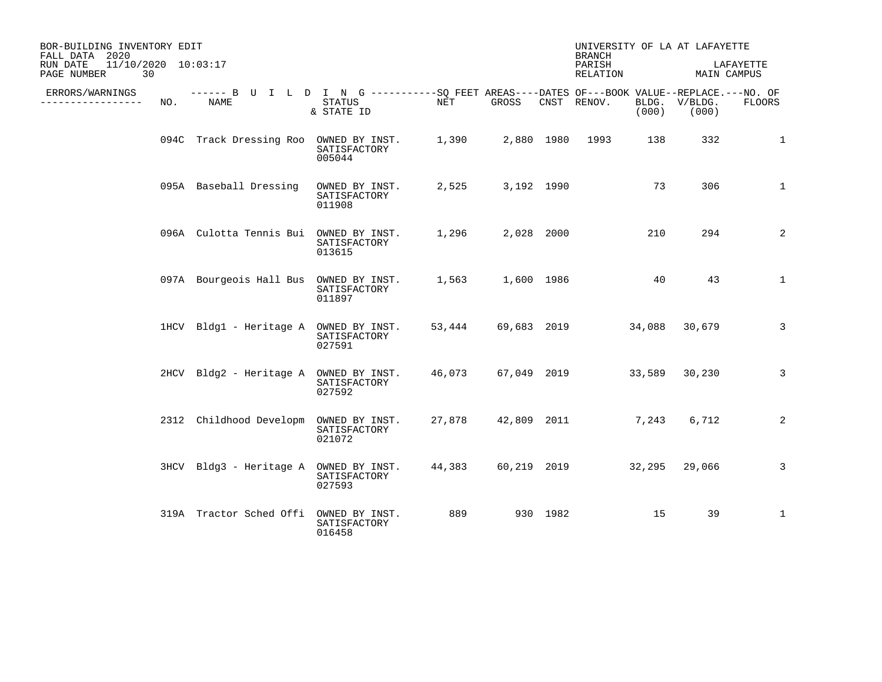| BOR-BUILDING INVENTORY EDIT<br>FALL DATA 2020<br>11/10/2020 10:03:17 |     |                                                                                                    |                                          |                  |              |  | UNIVERSITY OF LA AT LAFAYETTE<br><b>BRANCH</b> |       |                        |                |
|----------------------------------------------------------------------|-----|----------------------------------------------------------------------------------------------------|------------------------------------------|------------------|--------------|--|------------------------------------------------|-------|------------------------|----------------|
| RUN DATE<br>PAGE NUMBER<br>30                                        |     |                                                                                                    |                                          |                  |              |  | PARISH<br>RELATION                             |       | MAIN CAMPUS            | LAFAYETTE      |
| ERRORS/WARNINGS<br>--------------                                    | NO. | ------ B U I L D I N G ----------SO FEET AREAS----DATES OF---BOOK VALUE--REPLACE.---NO. OF<br>NAME | STATUS<br>& STATE ID                     | NET              | GROSS        |  | CNST RENOV.                                    | (000) | BLDG. V/BLDG.<br>(000) | FLOORS         |
|                                                                      |     | 094C Track Dressing Roo OWNED BY INST. 1,390                                                       | SATISFACTORY<br>005044                   |                  |              |  | 2,880 1980 1993                                | 138   | 332                    | 1              |
|                                                                      |     | 095A Baseball Dressing                                                                             | OWNED BY INST.<br>SATISFACTORY<br>011908 | 2,525            | 3,192 1990   |  |                                                | 73    | 306                    | 1              |
|                                                                      |     | 096A Culotta Tennis Bui OWNED BY INST.                                                             | SATISFACTORY<br>013615                   | 1,296 2,028 2000 |              |  |                                                | 210   | 294                    | 2              |
|                                                                      |     | 097A Bourgeois Hall Bus OWNED BY INST.                                                             | SATISFACTORY<br>011897                   |                  |              |  | 1,563 1,600 1986                               | 40    | 43                     | 1              |
|                                                                      |     | 1HCV Bldg1 - Heritage A OWNED BY INST.                                                             | SATISFACTORY<br>027591                   |                  |              |  | 53,444 69,683 2019 34,088 30,679               |       |                        | $\overline{3}$ |
|                                                                      |     | 2HCV Bldg2 - Heritage A OWNED BY INST.                                                             | SATISFACTORY<br>027592                   | 46,073           |              |  | 67,049 2019 33,589 30,230                      |       |                        | 3              |
|                                                                      |     | 2312 Childhood Developm OWNED BY INST.                                                             | SATISFACTORY<br>021072                   |                  |              |  | 27,878 42,809 2011                             | 7,243 | 6,712                  | 2              |
|                                                                      |     | 3HCV Bldg3 - Heritage A OWNED BY INST.                                                             | SATISFACTORY<br>027593                   | 44,383           |              |  | 60,219 2019 32,295 29,066                      |       |                        | 3              |
|                                                                      |     | 319A Tractor Sched Offi                                                                            | OWNED BY INST.<br>SATISFACTORY<br>016458 |                  | 889 930 1982 |  |                                                | 15    | 39                     | $\mathbf{1}$   |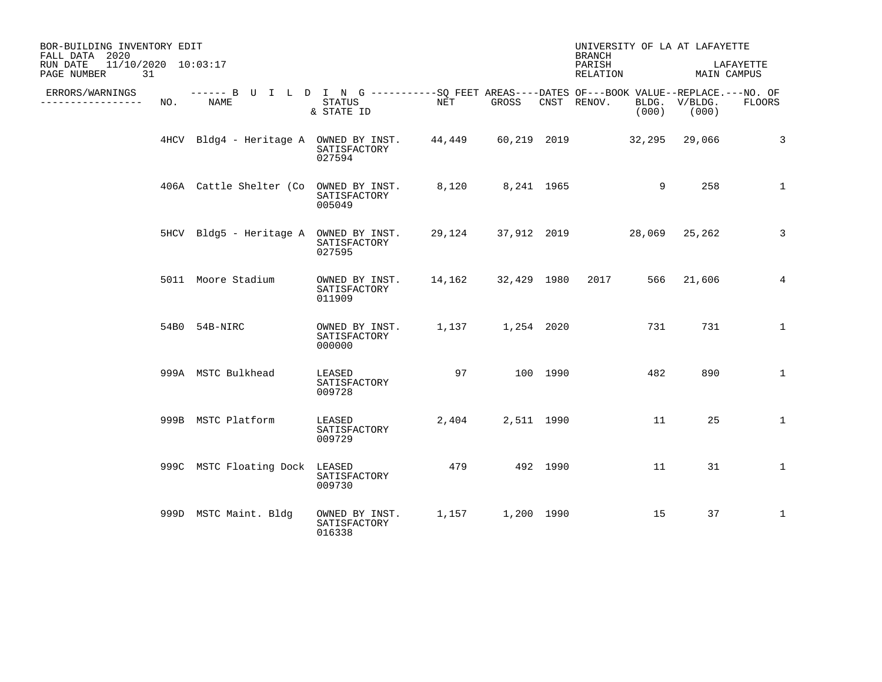| BOR-BUILDING INVENTORY EDIT<br>FALL DATA 2020        |     | UNIVERSITY OF LA AT LAFAYETTE<br><b>BRANCH</b>                                                     |                                          |        |                  |            |                                  |                        |                          |
|------------------------------------------------------|-----|----------------------------------------------------------------------------------------------------|------------------------------------------|--------|------------------|------------|----------------------------------|------------------------|--------------------------|
| 11/10/2020 10:03:17<br>RUN DATE<br>31<br>PAGE NUMBER |     |                                                                                                    |                                          |        |                  |            | PARISH<br>RELATION               |                        | LAFAYETTE<br>MAIN CAMPUS |
| ERRORS/WARNINGS<br>. <u>.</u> .                      | NO. | ------ B U I L D I N G ----------SQ FEET AREAS----DATES OF---BOOK VALUE--REPLACE.---NO. OF<br>NAME | STATUS<br>& STATE ID                     | NET    | GROSS            |            | CNST RENOV.<br>(000)             | BLDG. V/BLDG.<br>(000) | FLOORS                   |
|                                                      |     | 4HCV Bldg4 - Heritage A OWNED BY INST.                                                             | SATISFACTORY<br>027594                   |        |                  |            | 44,449 60,219 2019 32,295 29,066 |                        | 3                        |
|                                                      |     | 406A Cattle Shelter (Co OWNED BY INST.                                                             | SATISFACTORY<br>005049                   | 8,120  |                  | 8,241 1965 |                                  | 9<br>258               | $\mathbf{1}$             |
|                                                      |     | 5HCV Bldg5 - Heritage A OWNED BY INST.                                                             | SATISFACTORY<br>027595                   |        |                  |            | 29,124 37,912 2019 28,069 25,262 |                        | $\overline{3}$           |
|                                                      |     | 5011 Moore Stadium                                                                                 | OWNED BY INST.<br>SATISFACTORY<br>011909 | 14,162 |                  |            | 32,429 1980 2017                 | 566 21,606             | $\overline{4}$           |
|                                                      |     | 54B0 54B-NIRC                                                                                      | OWNED BY INST.<br>SATISFACTORY<br>000000 |        | 1,137 1,254 2020 |            | 731                              | 731                    | $\mathbf{1}$             |
|                                                      |     | 999A MSTC Bulkhead                                                                                 | LEASED<br>SATISFACTORY<br>009728         | 97     |                  | 100 1990   | 482                              | 890                    | $\mathbf{1}$             |
|                                                      |     | 999B MSTC Platform                                                                                 | LEASED<br>SATISFACTORY<br>009729         | 2,404  |                  | 2,511 1990 | 11                               | 25                     | $\mathbf{1}$             |
|                                                      |     | 999C MSTC Floating Dock LEASED                                                                     | SATISFACTORY<br>009730                   | 479    |                  | 492 1990   | 11                               | 31                     | $\mathbf{1}$             |
|                                                      |     | 999D MSTC Maint. Bldg                                                                              | OWNED BY INST.<br>SATISFACTORY<br>016338 |        | 1,157 1,200 1990 |            | 15                               | 37                     | $\mathbf{1}$             |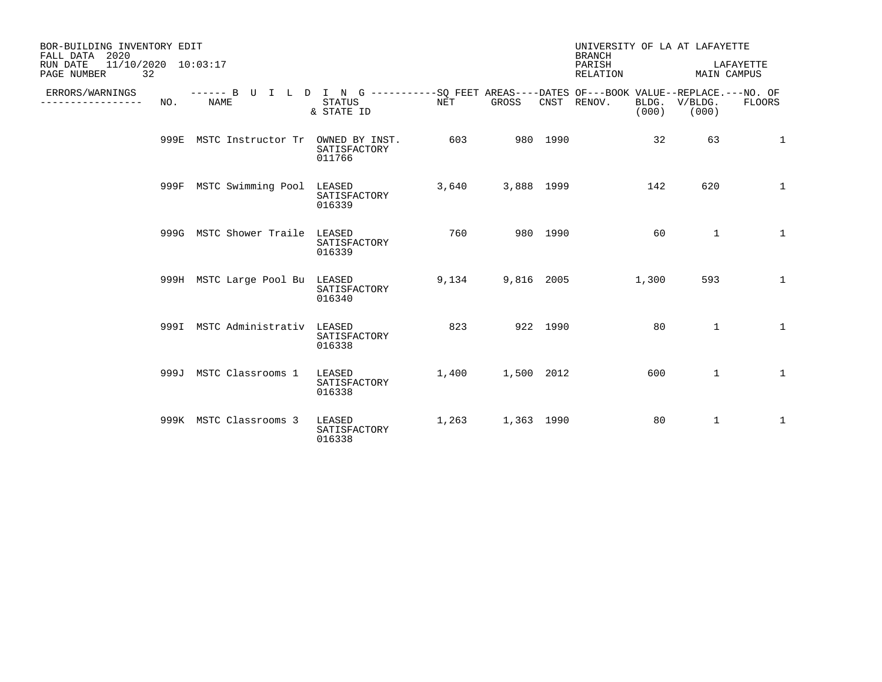| BOR-BUILDING INVENTORY EDIT<br>FALL DATA 2020<br>11/10/2020 10:03:17<br>RUN DATE<br>32<br>PAGE NUMBER |     |                                |                                                                                                                     |       |            |          | UNIVERSITY OF LA AT LAFAYETTE<br><b>BRANCH</b><br>PARISH<br>RELATION |       |                        | LAFAYETTE<br>MAIN CAMPUS |
|-------------------------------------------------------------------------------------------------------|-----|--------------------------------|---------------------------------------------------------------------------------------------------------------------|-------|------------|----------|----------------------------------------------------------------------|-------|------------------------|--------------------------|
| ERRORS/WARNINGS<br>--------------                                                                     | NO. | <b>NAME</b>                    | ------ B U I L D I N G -----------SQ FEET AREAS----DATES OF---BOOK VALUE--REPLACE.---NO. OF<br>STATUS<br>& STATE ID | NET   | GROSS      |          | CNST RENOV.                                                          | (000) | BLDG. V/BLDG.<br>(000) | FLOORS                   |
|                                                                                                       |     | 999E MSTC Instructor Tr        | OWNED BY INST.<br>SATISFACTORY<br>011766                                                                            | 603   |            | 980 1990 |                                                                      | 32    | 63                     | $\mathbf{1}$             |
|                                                                                                       |     | 999F MSTC Swimming Pool        | LEASED<br>SATISFACTORY<br>016339                                                                                    | 3,640 | 3,888 1999 |          |                                                                      | 142   | 620                    | $\mathbf{1}$             |
|                                                                                                       |     | 999G MSTC Shower Traile LEASED | SATISFACTORY<br>016339                                                                                              | 760   |            | 980 1990 |                                                                      | 60    | $\mathbf{1}$           | $\mathbf{1}$             |
|                                                                                                       |     | 999H MSTC Large Pool Bu LEASED | SATISFACTORY<br>016340                                                                                              | 9,134 | 9,816 2005 |          |                                                                      | 1,300 | 593                    | 1                        |
|                                                                                                       |     | 999I MSTC Administrativ LEASED | SATISFACTORY<br>016338                                                                                              | 823   |            | 922 1990 |                                                                      | 80    | $\mathbf{1}$           | $\mathbf{1}$             |
|                                                                                                       |     | 999J MSTC Classrooms 1         | LEASED<br>SATISFACTORY<br>016338                                                                                    | 1,400 | 1,500 2012 |          |                                                                      | 600   | $\mathbf{1}$           | $\mathbf{1}$             |
|                                                                                                       |     | 999K MSTC Classrooms 3         | LEASED<br>SATISFACTORY<br>016338                                                                                    | 1,263 | 1,363 1990 |          |                                                                      | 80    | $\mathbf{1}$           | 1                        |